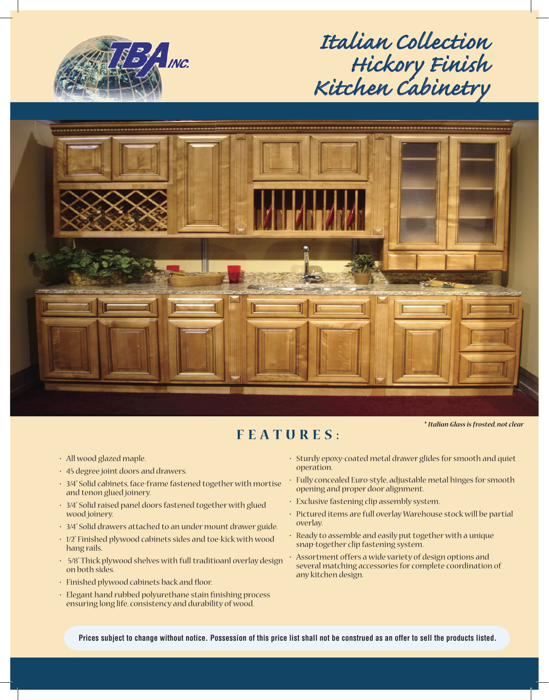

*Italian Collection talian Hickory Finish ickory Kitchen Cabinetry itchen* 



## **FEATURES:**

*\* Italian Glass is frosted, not clear*

- All wood glazed maple.
- 45 degree joint doors and drawers.
- 3/4" Solid cabinets, face-frame fastened together with mortise and tenon glued joinery.
- 3/4" Solid raised panel doors fastened together with glued wood joinery.
- 3/4" Solid drawers attached to an under mount drawer guide.
- 1/2" Finished plywood cabinets sides and toe-kick with wood hang rails.
- 5/8" Thick plywood shelves with full traditioanl overlay design on both sides.
- Finished plywood cabinets back and floor.
- Elegant hand rubbed polyurethane stain finishing process ensuring long life, consistency and durability of wood.
- Sturdy epoxy-coated metal drawer glides for smooth and quiet operation.
- Fully concealed Euro-style, adjustable metal hinges for smooth opening and proper door alignment.
- Exclusive fastening clip assembly system.
- Pictured items are full overlay Warehouse stock will be partial overlay.
- Ready to assemble and easily put together with a unique snap-together clip fastening system.
- Assortment offers a wide variety of design options and several matching accessories for complete coordination of any kitchen design.

**Prices subject to change without notice. Possession of this price list shall not be construed as an offer to sell the products listed.**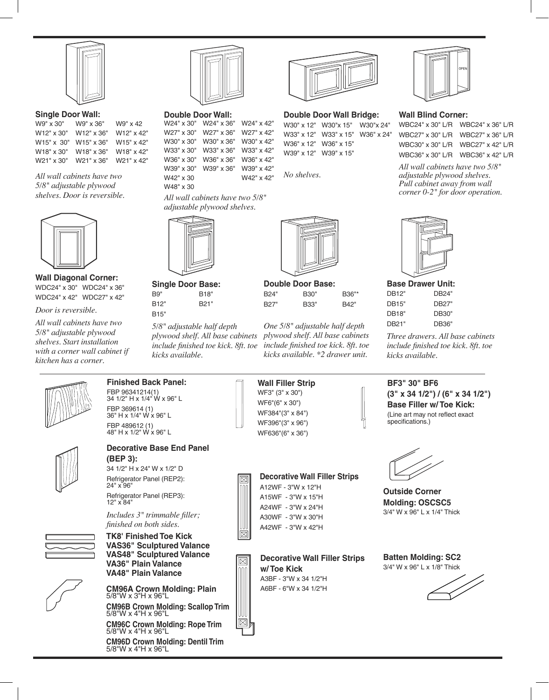

**Single Door Wall:** 

W9" x 30" W12" x 30" W12" x 36" W15" x 30" W15" x 36" W18" x 30" W21" x 30" W21" x 36" W9" x 36" W18" x 36" W9" x 42 W12" x 42" W15" x 42" W18" x 42" W21" x 42"

*All wall cabinets have two 5/8" adjustable plywood shelves. Door is reversible.*



**Wall Diagonal Corner:** WDC24" x 30" WDC24" x 36" WDC24" x 42" WDC27" x 42"

*Door is reversible.*

*All wall cabinets have two 5/8" adjustable plywood shelves. Start installation with a corner wall cabinet if kitchen has a corner.*



#### **Double Door Wall:**

```
All wall cabinets have two 5/8" 
W24" x 30"
W24" x 36"
W27" x 30"
W27" x 36"
W30" x 30"
W30" x 36"
W33" x 30"
W33" x 36"
W36" x 30"
W36" x 36"
W39" x 30"
W39" x 36"
W42" x 30
W48" x 30
                       W24" x 42"
                       W27" x 42"
                       W30" x 42"
                       W33" x 42"
                       W36" x 42"
                       W39" x 42"
                        W42" x 42"
```
*adjustable plywood shelves.*



**Single Door Base:** B9" B18" B12" B21" B15"

*5/8" adjustable half depth plywood shelf. All base cabinets include finished toe kick. 8ft. toe kicks available.*



**Double Door Wall Bridge:**  W30" x 12" W30"x 15" W30"x 24"

W33" x 12" W33" x 15" W36" x 24" W36" x 12" W36" x 15" W39" x 12" W39" x 15"

*No shelves.*



**Double Door Base:** B24" B27" B30" B33" B36"\* B42"

*One 5/8" adjustable half depth plywood shelf. All base cabinets include finished toe kick. 8ft. toe kicks available. \*2 drawer unit.*



#### **Wall Blind Corner:**

WBC24" x 30" L/R WBC24" x 36" L/R WBC27" x 30" L/R WBC27" x 36" L/R WBC30" x 30" L/R WBC27" x 42" L/R WBC36" x 30" L/R WBC36" x 42" L/R

*All wall cabinets have two 5/8" adjustable plywood shelves. Pull cabinet away from wall corner 0-2" for door operation.*



|       | Base Drawer Unit: |
|-------|-------------------|
| DB12" | DB24"             |
| DB15" | DB27"             |
| DB18" | DB30"             |
| DB21" | DB36"             |

**BF3" 30" BF6**

specifications.)

*Three drawers. All base cabinets include finished toe kick. 8ft. toe kicks available.*

**(3" x 34 1/2") / (6" x 34 1/2") Base Filler w/ Toe Kick:** (Line art may not reflect exact



**Finished Back Panel:** FBP 96341214(1) 34 1/2" H x 1/4" W x 96" L FBP 369614 (1) 36" H x 1/4" W x 96" L FBP 489612 (1) 48" H x 1/2" W x 96" L



#### **Decorative Base End Panel (BEP 3):** 34 1/2" H x 24" W x 1/2" D

Refrigerator Panel (REP2): 24" x 96" Refrigerator Panel (REP3):

12" x 84"

*Includes 3" trimmable filler; finished on both sides.*

**TK8' Finished Toe Kick VAS36" Sculptured Valance VAS48" Sculptured Valance VA36" Plain Valance VA48" Plain Valance**

**CM96A Crown Molding: Plain** 5/8"W x 3"H x 96"L **CM96B Crown Molding: Scallop Trim**

5/8"W x 4"H x 96"L

**CM96C Crown Molding: Rope Trim** 5/8"W x 4"H x 96"L

**CM96D Crown Molding: Dentil Trim** 5/8"W x 4"H x 96"L

**Wall Filler Strip**  WF3" (3" x 30") WF6"(6" x 30") WF384"(3" x 84") WF396"(3" x 96") WF636"(6" x 36")

**Decorative Wall Filler Strips**

A12WF - 3"W x 12"H A15WF - 3"W x 15"H A24WF - 3"W x 24"H A30WF - 3"W x 30"H A42WF - 3"W x 42"H

**Decorative Wall Filler Strips w/ Toe Kick**

A3BF - 3"W x 34 1/2"H A6BF - 6"W x 34 1/2"H

## **Batten Molding: SC2**

**Outside Corner Molding: OSCSC5** 3/4" W x 96" L x 1/4" Thick



 $\overline{\boxtimes}$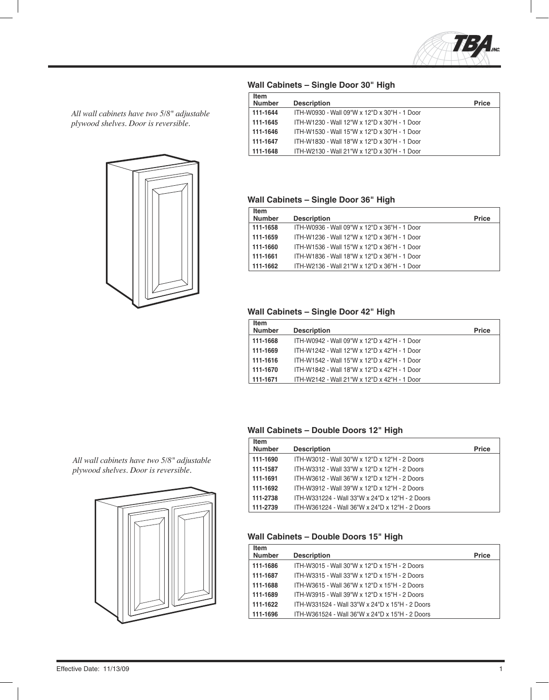

*All wall cabinets have two 5/8" adjustable plywood shelves. Door is reversible.*



#### **Wall Cabinets – Single Door 30" High**

| <b>Item</b>   |                                              |              |
|---------------|----------------------------------------------|--------------|
| <b>Number</b> | <b>Description</b>                           | <b>Price</b> |
| 111-1644      | ITH-W0930 - Wall 09"W x 12"D x 30"H - 1 Door |              |
| 111-1645      | ITH-W1230 - Wall 12"W x 12"D x 30"H - 1 Door |              |
| 111-1646      | ITH-W1530 - Wall 15"W x 12"D x 30"H - 1 Door |              |
| 111-1647      | ITH-W1830 - Wall 18"W x 12"D x 30"H - 1 Door |              |
| 111-1648      | ITH-W2130 - Wall 21"W x 12"D x 30"H - 1 Door |              |

#### **Wall Cabinets – Single Door 36" High**

| <b>Item</b><br><b>Number</b> | <b>Description</b>                           | <b>Price</b> |
|------------------------------|----------------------------------------------|--------------|
| 111-1658                     | ITH-W0936 - Wall 09"W x 12"D x 36"H - 1 Door |              |
| 111-1659                     | ITH-W1236 - Wall 12"W x 12"D x 36"H - 1 Door |              |
| 111-1660                     | ITH-W1536 - Wall 15"W x 12"D x 36"H - 1 Door |              |
| 111-1661                     | ITH-W1836 - Wall 18"W x 12"D x 36"H - 1 Door |              |
| 111-1662                     | ITH-W2136 - Wall 21"W x 12"D x 36"H - 1 Door |              |

#### **Wall Cabinets – Single Door 42" High**

| <b>Item</b><br><b>Number</b> | <b>Description</b>                           | <b>Price</b> |
|------------------------------|----------------------------------------------|--------------|
| 111-1668                     | ITH-W0942 - Wall 09"W x 12"D x 42"H - 1 Door |              |
| 111-1669                     | ITH-W1242 - Wall 12"W x 12"D x 42"H - 1 Door |              |
| 111-1616                     | ITH-W1542 - Wall 15"W x 12"D x 42"H - 1 Door |              |
| 111-1670                     | ITH-W1842 - Wall 18"W x 12"D x 42"H - 1 Door |              |
| 111-1671                     | ITH-W2142 - Wall 21"W x 12"D x 42"H - 1 Door |              |

#### **Wall Cabinets – Double Doors 12" High**

| Item          |                                                 |              |
|---------------|-------------------------------------------------|--------------|
| <b>Number</b> | <b>Description</b>                              | <b>Price</b> |
| 111-1690      | ITH-W3012 - Wall 30"W x 12"D x 12"H - 2 Doors   |              |
| 111-1587      | ITH-W3312 - Wall 33"W x 12"D x 12"H - 2 Doors   |              |
| 111-1691      | ITH-W3612 - Wall 36"W x 12"D x 12"H - 2 Doors   |              |
| 111-1692      | ITH-W3912 - Wall 39"W x 12"D x 12"H - 2 Doors   |              |
| 111-2738      | ITH-W331224 - Wall 33"W x 24"D x 12"H - 2 Doors |              |
| 111-2739      | ITH-W361224 - Wall 36"W x 24"D x 12"H - 2 Doors |              |

#### **Wall Cabinets – Double Doors 15" High**

| <b>Item</b><br><b>Number</b> | <b>Description</b>                              | <b>Price</b> |
|------------------------------|-------------------------------------------------|--------------|
| 111-1686                     | ITH-W3015 - Wall 30"W x 12"D x 15"H - 2 Doors   |              |
| 111-1687                     | ITH-W3315 - Wall 33"W x 12"D x 15"H - 2 Doors   |              |
| 111-1688                     | ITH-W3615 - Wall 36"W x 12"D x 15"H - 2 Doors   |              |
| 111-1689                     | ITH-W3915 - Wall 39"W x 12"D x 15"H - 2 Doors   |              |
| 111-1622                     | ITH-W331524 - Wall 33"W x 24"D x 15"H - 2 Doors |              |
| 111-1696                     | ITH-W361524 - Wall 36"W x 24"D x 15"H - 2 Doors |              |

*All wall cabinets have two 5/8" adjustable plywood shelves. Door is reversible.*

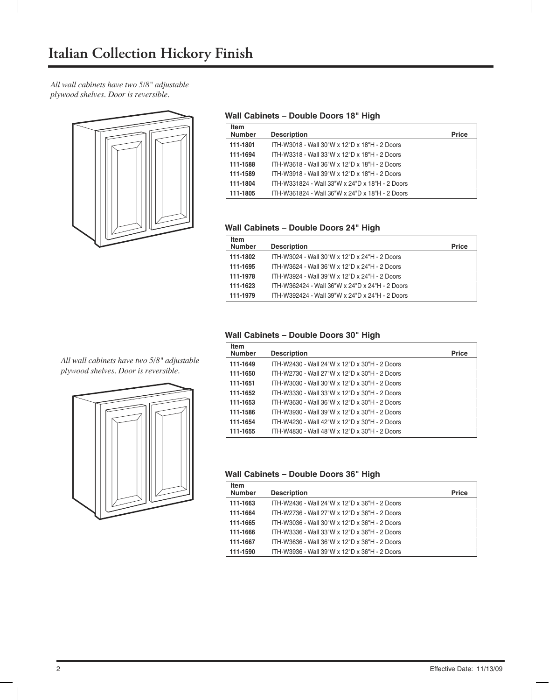*All wall cabinets have two 5/8" adjustable plywood shelves. Door is reversible.*



#### **Wall Cabinets – Double Doors 18" High**

| <b>Item</b><br><b>Number</b> | <b>Description</b>                              | Price |
|------------------------------|-------------------------------------------------|-------|
| 111-1801                     | ITH-W3018 - Wall 30"W x 12"D x 18"H - 2 Doors   |       |
| 111-1694                     | ITH-W3318 - Wall 33"W x 12"D x 18"H - 2 Doors   |       |
| 111-1588                     | ITH-W3618 - Wall 36"W x 12"D x 18"H - 2 Doors   |       |
| 111-1589                     | ITH-W3918 - Wall 39"W x 12"D x 18"H - 2 Doors   |       |
| 111-1804                     | ITH-W331824 - Wall 33"W x 24"D x 18"H - 2 Doors |       |
| 111-1805                     | ITH-W361824 - Wall 36"W x 24"D x 18"H - 2 Doors |       |

#### **Wall Cabinets – Double Doors 24" High**

| Item          |                                                 |              |
|---------------|-------------------------------------------------|--------------|
| <b>Number</b> | <b>Description</b>                              | <b>Price</b> |
| 111-1802      | ITH-W3024 - Wall 30"W x 12"D x 24"H - 2 Doors   |              |
| 111-1695      | ITH-W3624 - Wall 36"W x 12"D x 24"H - 2 Doors   |              |
| 111-1978      | ITH-W3924 - Wall 39"W x 12"D x 24"H - 2 Doors   |              |
| 111-1623      | ITH-W362424 - Wall 36"W x 24"D x 24"H - 2 Doors |              |
| 111-1979      | ITH-W392424 - Wall 39"W x 24"D x 24"H - 2 Doors |              |

#### **Wall Cabinets – Double Doors 30" High**

*All wall cabinets have two 5/8" adjustable plywood shelves. Door is reversible.*



| <b>Item</b><br><b>Number</b> | <b>Description</b>                            | <b>Price</b> |
|------------------------------|-----------------------------------------------|--------------|
| 111-1649                     | ITH-W2430 - Wall 24"W x 12"D x 30"H - 2 Doors |              |
| 111-1650                     | ITH-W2730 - Wall 27"W x 12"D x 30"H - 2 Doors |              |
| 111-1651                     | ITH-W3030 - Wall 30"W x 12"D x 30"H - 2 Doors |              |
| 111-1652                     | ITH-W3330 - Wall 33"W x 12"D x 30"H - 2 Doors |              |
| 111-1653                     | ITH-W3630 - Wall 36"W x 12"D x 30"H - 2 Doors |              |
| 111-1586                     | ITH-W3930 - Wall 39"W x 12"D x 30"H - 2 Doors |              |
| 111-1654                     | ITH-W4230 - Wall 42"W x 12"D x 30"H - 2 Doors |              |
| 111-1655                     | ITH-W4830 - Wall 48"W x 12"D x 30"H - 2 Doors |              |

#### **Wall Cabinets – Double Doors 36" High**

| <b>Item</b><br><b>Number</b> | <b>Description</b>                            | <b>Price</b> |
|------------------------------|-----------------------------------------------|--------------|
| 111-1663                     | ITH-W2436 - Wall 24"W x 12"D x 36"H - 2 Doors |              |
| 111-1664                     | ITH-W2736 - Wall 27"W x 12"D x 36"H - 2 Doors |              |
| 111-1665                     | ITH-W3036 - Wall 30"W x 12"D x 36"H - 2 Doors |              |
| 111-1666                     | ITH-W3336 - Wall 33"W x 12"D x 36"H - 2 Doors |              |
| 111-1667                     | ITH-W3636 - Wall 36"W x 12"D x 36"H - 2 Doors |              |
| 111-1590                     | ITH-W3936 - Wall 39"W x 12"D x 36"H - 2 Doors |              |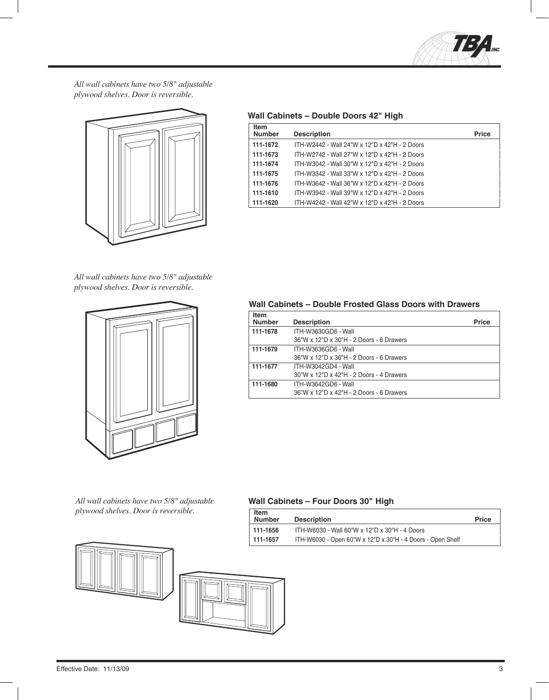

*All wall cabinets have two 5/8" adjustable plywood shelves. Door is reversible.*



**Wall Cabinets – Double Doors 42" High**

| <b>Item</b><br><b>Number</b> | <b>Description</b>                            | <b>Price</b> |
|------------------------------|-----------------------------------------------|--------------|
| 111-1672                     | ITH-W2442 - Wall 24"W x 12"D x 42"H - 2 Doors |              |
| 111-1673                     | ITH-W2742 - Wall 27"W x 12"D x 42"H - 2 Doors |              |
| 111-1674                     | ITH-W3042 - Wall 30"W x 12"D x 42"H - 2 Doors |              |
| 111-1675                     | ITH-W3342 - Wall 33"W x 12"D x 42"H - 2 Doors |              |
| 111-1676                     | ITH-W3642 - Wall 36"W x 12"D x 42"H - 2 Doors |              |
| 111-1610                     | ITH-W3942 - Wall 39"W x 12"D x 42"H - 2 Doors |              |
| 111-1620                     | ITH-W4242 - Wall 42"W x 12"D x 42"H - 2 Doors |              |
|                              |                                               |              |

*All wall cabinets have two 5/8" adjustable plywood shelves. Door is reversible.*



*All wall cabinets have two 5/8" adjustable*  $p$ lywood shelves. Door is reversible.



#### **Wall Cabinets – Double Frosted Glass Doors with Drawers**

| <b>Item</b><br><b>Number</b> | <b>Description</b>                       | <b>Price</b> |
|------------------------------|------------------------------------------|--------------|
| 111-1678                     | ITH-W3630GD6 - Wall                      |              |
|                              | 36"W x 12"D x 30"H - 2 Doors - 6 Drawers |              |
| 111-1679                     | ITH-W3636GD6 - Wall                      |              |
|                              | 36"W x 12"D x 36"H - 2 Doors - 6 Drawers |              |
| 111-1677                     | ITH-W3042GD4 - Wall                      |              |
|                              | 30"W x 12"D x 42"H - 2 Doors - 4 Drawers |              |
| 111-1680                     | ITH-W3642GD6 - Wall                      |              |
|                              | 36"W x 12"D x 42"H - 2 Doors - 6 Drawers |              |

#### **Wall Cabinets – Four Doors 30" High**

| <b>Item</b><br><b>Number</b> | <b>Description</b>                                         | <b>Price</b> |
|------------------------------|------------------------------------------------------------|--------------|
| 111-1656                     | ITH-W6030 - Wall 60"W x 12"D x 30"H - 4 Doors              |              |
| 111-1657                     | ITH-W6030 - Open 60"W x 12"D x 30"H - 4 Doors - Open Shelf |              |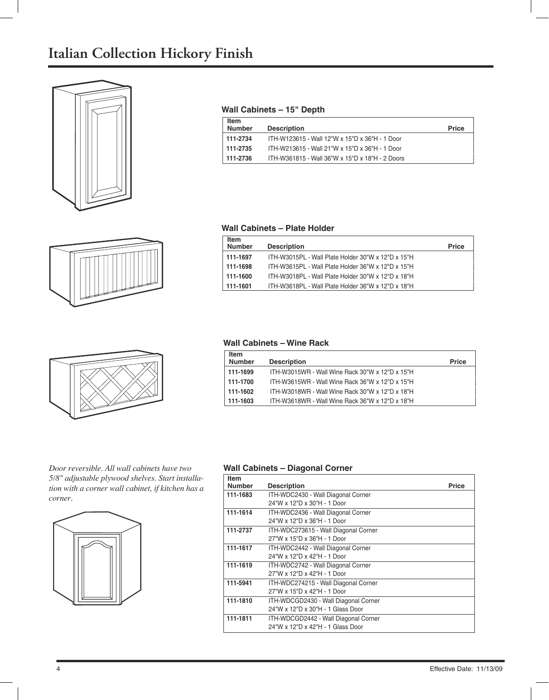## **Italian Collection Hickory Finish**







*Door reversible. All wall cabinets have two 5/8" adjustable plywood shelves. Start installation with a corner wall cabinet, if kitchen has a corner.*



#### **Wall Cabinets – 15" Depth**

| Item<br><b>Number</b> | <b>Description</b>                              | <b>Price</b> |
|-----------------------|-------------------------------------------------|--------------|
| 111-2734              | ITH-W123615 - Wall 12"W x 15"D x 36"H - 1 Door  |              |
| 111-2735              | ITH-W213615 - Wall 21"W x 15"D x 36"H - 1 Door  |              |
| 111-2736              | ITH-W361815 - Wall 36"W x 15"D x 18"H - 2 Doors |              |

#### **Wall Cabinets – Plate Holder**

| <b>Item</b><br><b>Number</b> | <b>Description</b>                                 | <b>Price</b> |
|------------------------------|----------------------------------------------------|--------------|
| 111-1697                     | ITH-W3015PL - Wall Plate Holder 30"W x 12"D x 15"H |              |
| 111-1698                     | ITH-W3615PL - Wall Plate Holder 36"W x 12"D x 15"H |              |
| 111-1600                     | ITH-W3018PL - Wall Plate Holder 30"W x 12"D x 18"H |              |
| 111-1601                     | ITH-W3618PL - Wall Plate Holder 36"W x 12"D x 18"H |              |

#### **Wall Cabinets – Wine Rack**

| <b>Item</b><br><b>Number</b> | <b>Description</b>                              | <b>Price</b> |
|------------------------------|-------------------------------------------------|--------------|
|                              |                                                 |              |
| 111-1699                     | ITH-W3015WR - Wall Wine Rack 30"W x 12"D x 15"H |              |
| 111-1700                     | ITH-W3615WR - Wall Wine Rack 36"W x 12"D x 15"H |              |
| 111-1602                     | ITH-W3018WR - Wall Wine Rack 30"W x 12"D x 18"H |              |
| 111-1603                     | ITH-W3618WR - Wall Wine Rack 36"W x 12"D x 18"H |              |

#### **Wall Cabinets – Diagonal Corner**

| <b>Item</b>   |                                      |              |
|---------------|--------------------------------------|--------------|
| <b>Number</b> | <b>Description</b>                   | <b>Price</b> |
| 111-1683      | ITH-WDC2430 - Wall Diagonal Corner   |              |
|               | 24"W x 12"D x 30"H - 1 Door          |              |
| 111-1614      | ITH-WDC2436 - Wall Diagonal Corner   |              |
|               | 24"W x 12"D x 36"H - 1 Door          |              |
| 111-2737      | ITH-WDC273615 - Wall Diagonal Corner |              |
|               | 27"W x 15"D x 36"H - 1 Door          |              |
| 111-1617      | ITH-WDC2442 - Wall Diagonal Corner   |              |
|               | 24"W x 12"D x 42"H - 1 Door          |              |
| 111-1619      | ITH-WDC2742 - Wall Diagonal Corner   |              |
|               | 27"W x 12"D x 42"H - 1 Door          |              |
| 111-5941      | ITH-WDC274215 - Wall Diagonal Corner |              |
|               | 27"W x 15"D x 42"H - 1 Door          |              |
| 111-1810      | ITH-WDCGD2430 - Wall Diagonal Corner |              |
|               | 24"W x 12"D x 30"H - 1 Glass Door    |              |
| 111-1811      | ITH-WDCGD2442 - Wall Diagonal Corner |              |
|               | 24"W x 12"D x 42"H - 1 Glass Door    |              |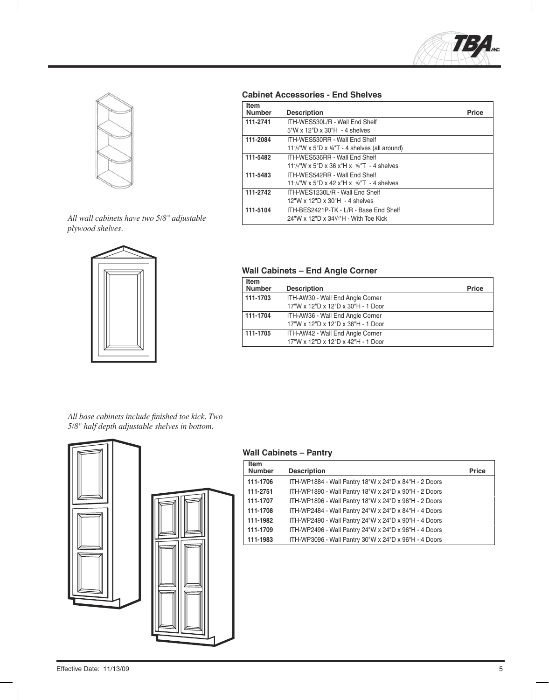



*All wall cabinets have two 5/8" adjustable plywood shelves.*



#### **Cabinet Accessories - End Shelves**

| <b>Item</b>   |                                                                       |              |
|---------------|-----------------------------------------------------------------------|--------------|
| <b>Number</b> | <b>Description</b>                                                    | <b>Price</b> |
| 111-2741      | ITH-WES530L/R - Wall End Shelf                                        |              |
|               | 5"W x 12"D x 30"H - 4 shelves                                         |              |
| 111-2084      | ITH-WES530RR - Wall End Shelf                                         |              |
|               | 11 $\frac{1}{4}$ "W x 5"D x $\frac{1}{8}$ "T - 4 shelves (all around) |              |
| 111-5482      | ITH-WES536RR - Wall End Shelf                                         |              |
|               | 11 $\frac{1}{4}$ "W x 5"D x 36 x"H x $\frac{1}{8}$ "T - 4 shelves     |              |
| 111-5483      | ITH-WES542RR - Wall Fnd Shelf                                         |              |
|               | 11 $\frac{1}{4}$ "W x 5"D x 42 x"H x $\frac{1}{8}$ "T - 4 shelves     |              |
| 111-2742      | ITH-WES1230L/R - Wall End Shelf                                       |              |
|               | 12"W x 12"D x 30"H - 4 shelves                                        |              |
| 111-5104      | ITH-BES2421P-TK - L/R - Base End Shelf                                |              |
|               | 24"W x 12"D x 341/2"H - With Toe Kick                                 |              |
|               |                                                                       |              |

#### **Wall Cabinets – End Angle Corner**

| <b>Item</b><br><b>Number</b> | <b>Description</b>                 | <b>Price</b> |
|------------------------------|------------------------------------|--------------|
| 111-1703                     | ITH-AW30 - Wall End Angle Corner   |              |
|                              | 17"W x 12"D x 12"D x 30"H - 1 Door |              |
| 111-1704                     | ITH-AW36 - Wall End Angle Corner   |              |
|                              | 17"W x 12"D x 12"D x 36"H - 1 Door |              |
| 111-1705                     | ITH-AW42 - Wall End Angle Corner   |              |
|                              | 17"W x 12"D x 12"D x 42"H - 1 Door |              |

All base cabinets include finished toe kick. Two *5/8" half depth adjustable shelves in bottom.*



#### **Wall Cabinets – Pantry**

| <b>Item</b>   |                                                       |              |
|---------------|-------------------------------------------------------|--------------|
| <b>Number</b> | <b>Description</b>                                    | <b>Price</b> |
| 111-1706      | ITH-WP1884 - Wall Pantry 18"W x 24"D x 84"H - 2 Doors |              |
| 111-2751      | ITH-WP1890 - Wall Pantry 18"W x 24"D x 90"H - 2 Doors |              |
| 111-1707      | ITH-WP1896 - Wall Pantry 18"W x 24"D x 96"H - 2 Doors |              |
| 111-1708      | ITH-WP2484 - Wall Pantry 24"W x 24"D x 84"H - 4 Doors |              |
| 111-1982      | ITH-WP2490 - Wall Pantry 24"W x 24"D x 90"H - 4 Doors |              |
| 111-1709      | ITH-WP2496 - Wall Pantry 24"W x 24"D x 96"H - 4 Doors |              |
| 111-1983      | ITH-WP3096 - Wall Pantry 30"W x 24"D x 96"H - 4 Doors |              |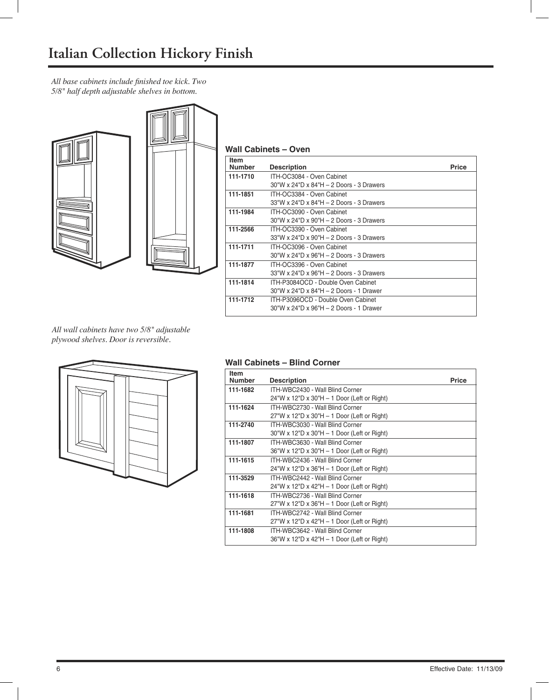*All base cabinets include fi nished toe kick. Two 5/8" half depth adjustable shelves in bottom.*





#### **Wall Cabinets – Oven**

| Item          |                                          |              |
|---------------|------------------------------------------|--------------|
| <b>Number</b> | <b>Description</b>                       | <b>Price</b> |
| 111-1710      | ITH-OC3084 - Oven Cabinet                |              |
|               | 30"W x 24"D x 84"H - 2 Doors - 3 Drawers |              |
| 111-1851      | ITH-OC3384 - Oven Cabinet                |              |
|               | 33"W x 24"D x 84"H - 2 Doors - 3 Drawers |              |
| 111-1984      | ITH-OC3090 - Oven Cabinet                |              |
|               | 30"W x 24"D x 90"H - 2 Doors - 3 Drawers |              |
| 111-2566      | ITH-OC3390 - Oven Cabinet                |              |
|               | 33"W x 24"D x 90"H - 2 Doors - 3 Drawers |              |
| 111-1711      | ITH-OC3096 - Oven Cabinet                |              |
|               | 30"W x 24"D x 96"H - 2 Doors - 3 Drawers |              |
| 111-1877      | ITH-OC3396 - Oven Cabinet                |              |
|               | 33"W x 24"D x 96"H - 2 Doors - 3 Drawers |              |
| 111-1814      | ITH-P3084OCD - Double Oven Cabinet       |              |
|               | 30"W x 24"D x 84"H - 2 Doors - 1 Drawer  |              |
| 111-1712      | ITH-P3096OCD - Double Oven Cabinet       |              |
|               | 30"W x 24"D x 96"H - 2 Doors - 1 Drawer  |              |
|               |                                          |              |

*All wall cabinets have two 5/8" adjustable plywood shelves. Door is reversible.*



#### **Wall Cabinets – Blind Corner**

| <b>Item</b><br><b>Number</b> | <b>Description</b>                                                 | <b>Price</b> |
|------------------------------|--------------------------------------------------------------------|--------------|
| 111-1682                     | ITH-WBC2430 - Wall Blind Corner                                    |              |
|                              | $24$ "W x 12"D x 30"H - 1 Door (Left or Right)                     |              |
| 111-1624                     | ITH-WBC2730 - Wall Blind Corner                                    |              |
|                              | $27''W \times 12''D \times 30''H - 1$ Door (Left or Right)         |              |
| 111-2740                     | ITH-WBC3030 - Wall Blind Corner                                    |              |
|                              | $30^{\circ}$ W x 12"D x 30"H – 1 Door (Left or Right)              |              |
| 111-1807                     | ITH-WBC3630 - Wall Blind Corner                                    |              |
|                              | 36"W x 12"D x 30"H - 1 Door (Left or Right)                        |              |
| 111-1615                     | ITH-WBC2436 - Wall Blind Corner                                    |              |
|                              | $24$ "W x 12"D x 36"H – 1 Door (Left or Right)                     |              |
| 111-3529                     | ITH-WBC2442 - Wall Blind Corner                                    |              |
|                              | $24^{\circ}$ W x 12 <sup>"</sup> D x 42"H – 1 Door (Left or Right) |              |
| 111-1618                     | ITH-WBC2736 - Wall Blind Corner                                    |              |
|                              | $27"W \times 12"D \times 36"H - 1 Door$ (Left or Right)            |              |
| 111-1681                     | ITH-WBC2742 - Wall Blind Corner                                    |              |
|                              | $27"W \times 12"D \times 42"H - 1 Door$ (Left or Right)            |              |
| 111-1808                     | ITH-WBC3642 - Wall Blind Corner                                    |              |
|                              | 36"W x 12"D x 42"H - 1 Door (Left or Right)                        |              |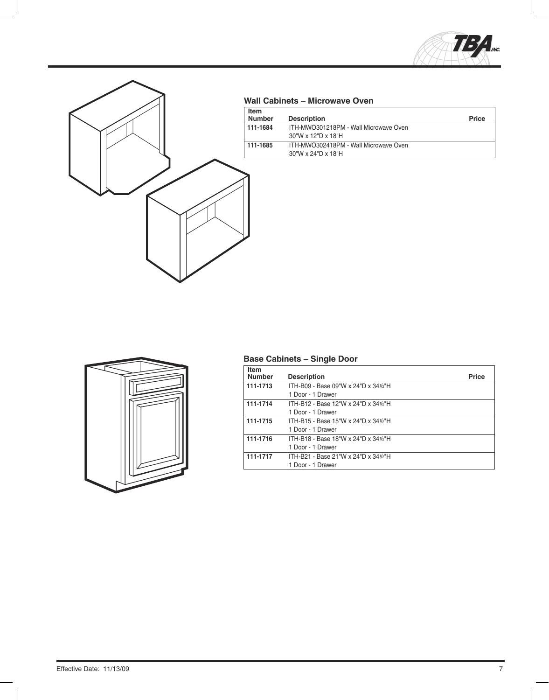



#### **'( Wall Cabinets – Microwave Oven**

| <b>Item</b><br><b>Number</b> | <b>Description</b>                                                         | <b>Price</b> |
|------------------------------|----------------------------------------------------------------------------|--------------|
| 111-1684                     | ITH-MWO301218PM - Wall Microwave Oven<br>$30''W \times 12''D \times 18''H$ |              |
| 111-1685                     | ITH-MWO302418PM - Wall Microwave Oven<br>30"W x 24"D x 18"H                |              |



### **Base Cabinets – Single Door**

| <b>Item</b><br><b>Number</b> | <b>Description</b>                   | <b>Price</b> |
|------------------------------|--------------------------------------|--------------|
| 111-1713                     | ITH-B09 - Base 09"W x 24"D x 341/2"H |              |
|                              | 1 Door - 1 Drawer                    |              |
| 111-1714                     | ITH-B12 - Base 12"W x 24"D x 341/2"H |              |
|                              | 1 Door - 1 Drawer                    |              |
| 111-1715                     | ITH-B15 - Base 15"W x 24"D x 341/2"H |              |
|                              | 1 Door - 1 Drawer                    |              |
| 111-1716                     | ITH-B18 - Base 18"W x 24"D x 341/2"H |              |
|                              | 1 Door - 1 Drawer                    |              |
| 111-1717                     | ITH-B21 - Base 21"W x 24"D x 341/2"H |              |
|                              | 1 Door - 1 Drawer                    |              |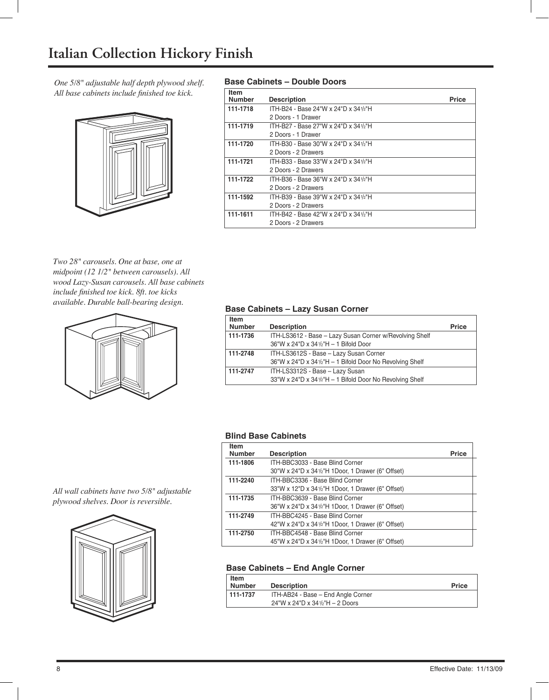*One 5/8" adjustable half depth plywood shelf. All base cabinets include finished toe kick.* 



#### **Base Cabinets – Double Doors**

| <b>Item</b><br><b>Number</b> | <b>Description</b>                   | <b>Price</b> |
|------------------------------|--------------------------------------|--------------|
| 111-1718                     | ITH-B24 - Base 24"W x 24"D x 341/2"H |              |
|                              | 2 Doors - 1 Drawer                   |              |
| 111-1719                     | ITH-B27 - Base 27"W x 24"D x 341/2"H |              |
|                              | 2 Doors - 1 Drawer                   |              |
| 111-1720                     | ITH-B30 - Base 30"W x 24"D x 341/2"H |              |
|                              | 2 Doors - 2 Drawers                  |              |
| 111-1721                     | ITH-B33 - Base 33"W x 24"D x 341/2"H |              |
|                              | 2 Doors - 2 Drawers                  |              |
| 111-1722                     | ITH-B36 - Base 36"W x 24"D x 341/2"H |              |
|                              | 2 Doors - 2 Drawers                  |              |
| 111-1592                     | ITH-B39 - Base 39"W x 24"D x 341/2"H |              |
|                              | 2 Doors - 2 Drawers                  |              |
| 111-1611                     | ITH-B42 - Base 42"W x 24"D x 341/2"H |              |
|                              | 2 Doors - 2 Drawers                  |              |

*Two 28" carousels. One at base, one at midpoint (12 1/2" between carousels). All wood Lazy-Susan carousels. All base cabinets include fi nished toe kick. 8ft. toe kicks available. Durable ball-bearing design.*



#### **Base Cabinets – Lazy Susan Corner**

| <b>Item</b><br><b>Number</b> | <b>Description</b>                                                                                 | <b>Price</b> |
|------------------------------|----------------------------------------------------------------------------------------------------|--------------|
| 111-1736                     | ITH-LS3612 - Base - Lazy Susan Corner w/Revolving Shelf<br>36"W x 24"D x 341/2"H - 1 Bifold Door   |              |
| 111-2748                     | ITH-LS3612S - Base - Lazy Susan Corner<br>36"W x 24"D x 341/2"H - 1 Bifold Door No Revolving Shelf |              |
| 111-2747                     | ITH-LS3312S - Base - Lazy Susan<br>33"W x 24"D x 341/2"H - 1 Bifold Door No Revolving Shelf        |              |

#### **Blind Base Cabinets**

| <b>Item</b><br><b>Number</b> | <b>Description</b>                                | <b>Price</b> |
|------------------------------|---------------------------------------------------|--------------|
| 111-1806                     | ITH-BBC3033 - Base Blind Corner                   |              |
|                              | 30"W x 24"D x 341/2"H 1Door, 1 Drawer (6" Offset) |              |
| 111-2240                     | ITH-BBC3336 - Base Blind Corner                   |              |
|                              | 33"W x 12"D x 341/2"H 1Door, 1 Drawer (6" Offset) |              |
| 111-1735                     | ITH-BBC3639 - Base Blind Corner                   |              |
|                              | 36"W x 24"D x 341/2"H 1Door, 1 Drawer (6" Offset) |              |
| 111-2749                     | ITH-BBC4245 - Base Blind Corner                   |              |
|                              | 42"W x 24"D x 341/2"H 1Door, 1 Drawer (6" Offset) |              |
| 111-2750                     | ITH-BBC4548 - Base Blind Corner                   |              |
|                              | 45"W x 24"D x 341/2"H 1Door, 1 Drawer (6" Offset) |              |

#### **Base Cabinets – End Angle Corner**

| <b>Item</b><br><b>Number</b> | <b>Description</b>                  | <b>Price</b> |
|------------------------------|-------------------------------------|--------------|
| 111-1737                     | ITH-AB24 - Base - End Angle Corner  |              |
|                              | 24"W x 24"D x 34 $1/2$ "H - 2 Doors |              |

*All wall cabinets have two 5/8" adjustable plywood shelves. Door is reversible.*

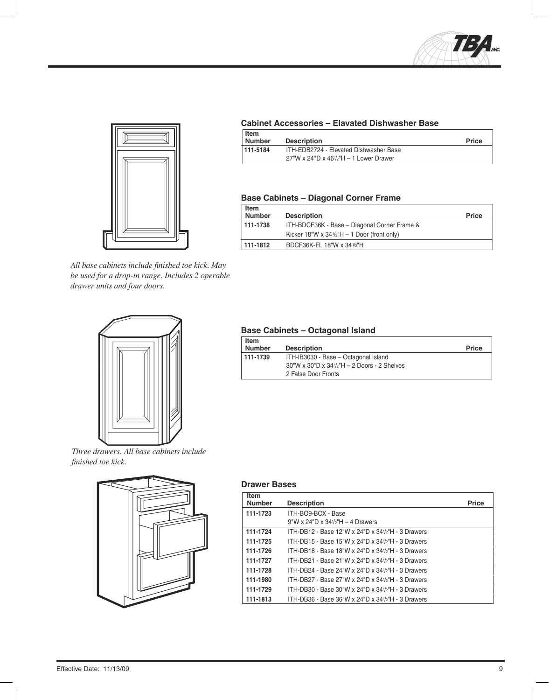



All base cabinets include finished toe kick. May *be used for a drop-in range. Includes 2 operable drawer units and four doors.*



*Three drawers. All base cabinets include fi nished toe kick.*



#### **Cabinet Accessories – Elavated Dishwasher Base**

| <b>I</b> tem<br>Number | <b>Description</b>                     | <b>Price</b> |
|------------------------|----------------------------------------|--------------|
| 111-5184               | ITH-EDB2724 - Elevated Dishwasher Base |              |
|                        | 27"W x 24"D x 461/2"H - 1 Lower Drawer |              |

#### **Base Cabinets – Diagonal Corner Frame**

| Item<br><b>Number</b> | <b>Description</b>                                     | <b>Price</b> |
|-----------------------|--------------------------------------------------------|--------------|
| 111-1738              | ITH-BDCF36K - Base - Diagonal Corner Frame &           |              |
|                       | Kicker 18"W x $34\frac{1}{2}$ "H - 1 Door (front only) |              |
| 111-1812              | BDCF36K-FL 18"W x 341/2"H                              |              |

#### **Base Cabinets – Octagonal Island**

| Item<br><b>Number</b> | <b>Description</b>                                               | <b>Price</b> |
|-----------------------|------------------------------------------------------------------|--------------|
| 111-1739              | ITH-IB3030 - Base - Octagonal Island                             |              |
|                       | $30''W \times 30''D \times 34\frac{1}{2}H - 2$ Doors - 2 Shelves |              |
|                       | 2 False Door Fronts                                              |              |

#### **Drawer Bases**

| Item<br><b>Number</b> | <b>Description</b>                                    | <b>Price</b> |
|-----------------------|-------------------------------------------------------|--------------|
| 111-1723              | ITH-BO9-BOX - Base                                    |              |
|                       | $9''W \times 24''D \times 34\frac{1}{2}H - 4$ Drawers |              |
| 111-1724              | ITH-DB12 - Base 12"W x 24"D x 341/2"H - 3 Drawers     |              |
| 111-1725              | ITH-DB15 - Base 15"W x 24"D x 341/2"H - 3 Drawers     |              |
| 111-1726              | ITH-DB18 - Base 18"W x 24"D x 341/2"H - 3 Drawers     |              |
| 111-1727              | ITH-DB21 - Base 21"W x 24"D x 341/2"H - 3 Drawers     |              |
| 111-1728              | ITH-DB24 - Base 24"W x 24"D x 341/2"H - 3 Drawers     |              |
| 111-1980              | ITH-DB27 - Base 27"W x 24"D x 341/2"H - 3 Drawers     |              |
| 111-1729              | ITH-DB30 - Base 30"W x 24"D x 341/2"H - 3 Drawers     |              |
| 111-1813              | ITH-DB36 - Base 36"W x 24"D x 341/2"H - 3 Drawers     |              |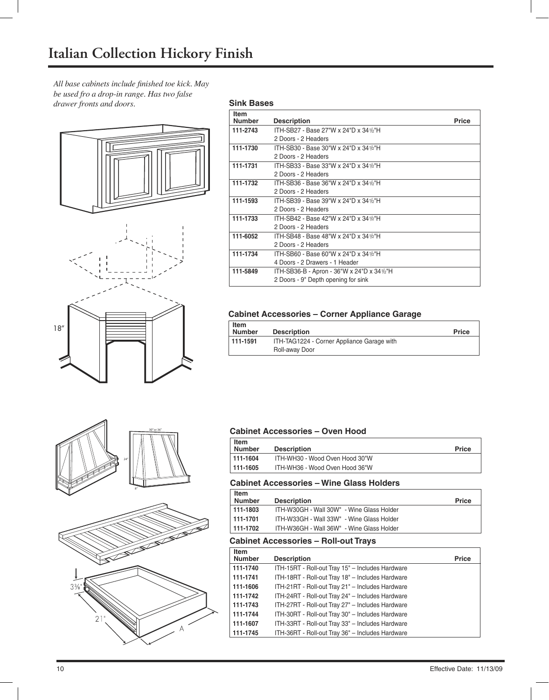All base cabinets include finished toe kick. May *be used fro a drop-in range. Has two false drawer fronts and doors.*





## $24"$ 30 " or 36" 8"



#### **Sink Bases**

| <b>Item</b>   |                                            |              |
|---------------|--------------------------------------------|--------------|
| <b>Number</b> | <b>Description</b>                         | <b>Price</b> |
| 111-2743      | ITH-SB27 - Base 27"W x 24"D x 341/2"H      |              |
|               | 2 Doors - 2 Headers                        |              |
| 111-1730      | ITH-SB30 - Base 30"W x 24"D x 341/2"H      |              |
|               | 2 Doors - 2 Headers                        |              |
| 111-1731      | ITH-SB33 - Base 33"W x 24"D x 341/2"H      |              |
|               | 2 Doors - 2 Headers                        |              |
| 111-1732      | ITH-SB36 - Base 36"W x 24"D x 341/2"H      |              |
|               | 2 Doors - 2 Headers                        |              |
| 111-1593      | ITH-SB39 - Base 39"W x 24"D x 341/2"H      |              |
|               | 2 Doors - 2 Headers                        |              |
| 111-1733      | ITH-SB42 - Base 42"W x 24"D x 341/2"H      |              |
|               | 2 Doors - 2 Headers                        |              |
| 111-6052      | ITH-SB48 - Base 48"W x 24"D x 341/2"H      |              |
|               | 2 Doors - 2 Headers                        |              |
| 111-1734      | ITH-SB60 - Base 60"W x 24"D x 341/2"H      |              |
|               | 4 Doors - 2 Drawers - 1 Header             |              |
| 111-5849      | ITH-SB36-B - Apron - 36"W x 24"D x 341/2"H |              |
|               | 2 Doors - 9" Depth opening for sink        |              |

#### **Cabinet Accessories – Corner Appliance Garage**

| Item<br><b>Number</b> | <b>Description</b>                                           | <b>Price</b> |
|-----------------------|--------------------------------------------------------------|--------------|
| 111-1591              | ITH-TAG1224 - Corner Appliance Garage with<br>Roll-away Door |              |

#### **Cabinet Accessories – Oven Hood**

| <b>Item</b><br><b>Number</b> | <b>Description</b>             | <b>Price</b> |
|------------------------------|--------------------------------|--------------|
| $ 111-1604$                  | ITH-WH30 - Wood Oven Hood 30"W |              |
| $ 111 - 1605$                | ITH-WH36 - Wood Oven Hood 36"W |              |

#### **Cabinet Accessories – Wine Glass Holders**

| <b>Item</b><br><b>Number</b> | <b>Description</b>                        | <b>Price</b> |
|------------------------------|-------------------------------------------|--------------|
| 111-1803                     | ITH-W30GH - Wall 30W" - Wine Glass Holder |              |
| $111-1701$                   | ITH-W33GH - Wall 33W" - Wine Glass Holder |              |
| 111-1702                     | ITH-W36GH - Wall 36W" - Wine Glass Holder |              |

#### **Cabinet Accessories – Roll-out Trays**

| <b>Item</b>   |                                                  |              |
|---------------|--------------------------------------------------|--------------|
| <b>Number</b> | <b>Description</b>                               | <b>Price</b> |
| 111-1740      | ITH-15RT - Roll-out Tray 15" - Includes Hardware |              |
| 111-1741      | ITH-18RT - Roll-out Tray 18" - Includes Hardware |              |
| 111-1606      | ITH-21RT - Roll-out Tray 21" - Includes Hardware |              |
| 111-1742      | ITH-24RT - Roll-out Tray 24" - Includes Hardware |              |
| 111-1743      | ITH-27RT - Roll-out Tray 27" - Includes Hardware |              |
| 111-1744      | ITH-30RT - Roll-out Tray 30" - Includes Hardware |              |
| 111-1607      | ITH-33RT - Roll-out Tray 33" - Includes Hardware |              |
| 111-1745      | ITH-36RT - Roll-out Tray 36" - Includes Hardware |              |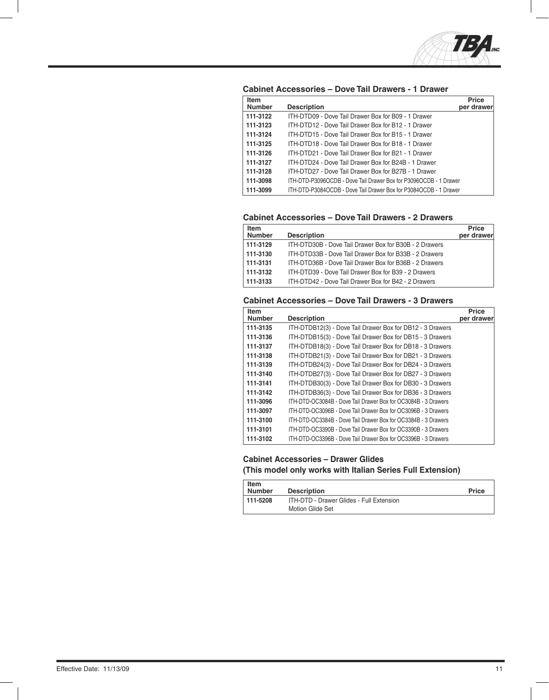

**Cabinet Accessories – Dove Tail Drawers - 1 Drawer**

| <b>Item</b><br><b>Number</b> | <b>Description</b>                                                | <b>Price</b><br>per drawer |
|------------------------------|-------------------------------------------------------------------|----------------------------|
| 111-3122                     | ITH-DTD09 - Dove Tail Drawer Box for B09 - 1 Drawer               |                            |
| 111-3123                     | ITH-DTD12 - Dove Tail Drawer Box for B12 - 1 Drawer               |                            |
| 111-3124                     | ITH-DTD15 - Dove Tail Drawer Box for B15 - 1 Drawer               |                            |
| 111-3125                     | ITH-DTD18 - Dove Tail Drawer Box for B18 - 1 Drawer               |                            |
| 111-3126                     | ITH-DTD21 - Dove Tail Drawer Box for B21 - 1 Drawer               |                            |
| 111-3127                     | ITH-DTD24 - Dove Tail Drawer Box for B24B - 1 Drawer              |                            |
| 111-3128                     | ITH-DTD27 - Dove Tail Drawer Box for B27B - 1 Drawer              |                            |
| 111-3098                     | ITH-DTD-P3096OCDB - Dove Tail Drawer Box for P3096OCDB - 1 Drawer |                            |
| 111-3099                     | ITH-DTD-P3084OCDB - Dove Tail Drawer Box for P3084OCDB - 1 Drawer |                            |

#### **Cabinet Accessories – Dove Tail Drawers - 2 Drawers**

| Item          |                                                        | Price      |
|---------------|--------------------------------------------------------|------------|
| <b>Number</b> | <b>Description</b>                                     | per drawer |
| 111-3129      | ITH-DTD30B - Dove Tail Drawer Box for B30B - 2 Drawers |            |
| 111-3130      | ITH-DTD33B - Dove Tail Drawer Box for B33B - 2 Drawers |            |
| 111-3131      | ITH-DTD36B - Dove Tail Drawer Box for B36B - 2 Drawers |            |
| 111-3132      | ITH-DTD39 - Dove Tail Drawer Box for B39 - 2 Drawers   |            |
| 111-3133      | ITH-DTD42 - Dove Tail Drawer Box for B42 - 2 Drawers   |            |

#### **Cabinet Accessories – Dove Tail Drawers - 3 Drawers**

| <b>Item</b>   |                                                                | <b>Price</b> |
|---------------|----------------------------------------------------------------|--------------|
| <b>Number</b> | <b>Description</b>                                             | per drawer   |
| 111-3135      | ITH-DTDB12(3) - Dove Tail Drawer Box for DB12 - 3 Drawers      |              |
| 111-3136      | ITH-DTDB15(3) - Dove Tail Drawer Box for DB15 - 3 Drawers      |              |
| 111-3137      | ITH-DTDB18(3) - Dove Tail Drawer Box for DB18 - 3 Drawers      |              |
| 111-3138      | ITH-DTDB21(3) - Dove Tail Drawer Box for DB21 - 3 Drawers      |              |
| 111-3139      | ITH-DTDB24(3) - Dove Tail Drawer Box for DB24 - 3 Drawers      |              |
| 111-3140      | ITH-DTDB27(3) - Dove Tail Drawer Box for DB27 - 3 Drawers      |              |
| 111-3141      | ITH-DTDB30(3) - Dove Tail Drawer Box for DB30 - 3 Drawers      |              |
| 111-3142      | ITH-DTDB36(3) - Dove Tail Drawer Box for DB36 - 3 Drawers      |              |
| 111-3096      | ITH-DTD-OC3084B - Dove Tail Drawer Box for OC3084B - 3 Drawers |              |
| 111-3097      | ITH-DTD-OC3096B - Dove Tail Drawer Box for OC3096B - 3 Drawers |              |
| 111-3100      | ITH-DTD-OC3384B - Dove Tail Drawer Box for OC3384B - 3 Drawers |              |
| 111-3101      | ITH-DTD-OC3390B - Dove Tail Drawer Box for OC3390B - 3 Drawers |              |
| 111-3102      | ITH-DTD-OC3396B - Dove Tail Drawer Box for OC3396B - 3 Drawers |              |

#### **Cabinet Accessories – Drawer Glides**

**(This model only works with Italian Series Full Extension)**

| Item          |                                          |              |
|---------------|------------------------------------------|--------------|
| <b>Number</b> | <b>Description</b>                       | <b>Price</b> |
| $111 - 5208$  | ITH-DTD - Drawer Glides - Full Extension |              |
|               | Motion Glide Set                         |              |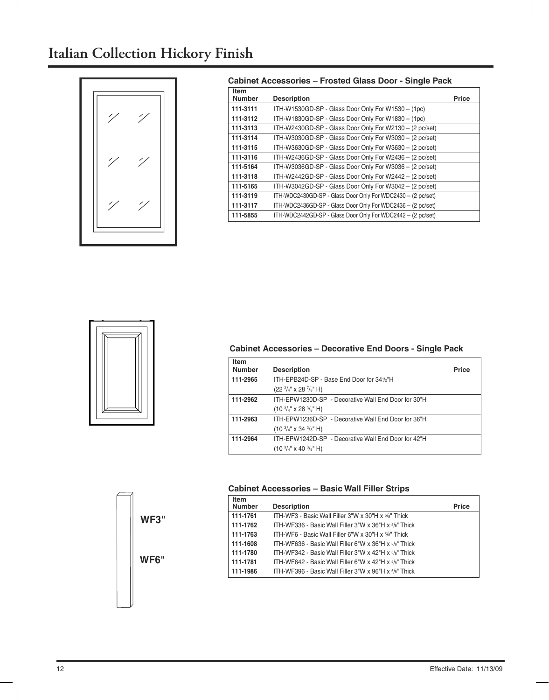## **Italian Collection Hickory Finish**



#### **Cabinet Accessories – Frosted Glass Door - Single Pack**

| <b>Item</b><br><b>Number</b> | <b>Description</b>                                          | <b>Price</b> |
|------------------------------|-------------------------------------------------------------|--------------|
| 111-3111                     | ITH-W1530GD-SP - Glass Door Only For W1530 - (1pc)          |              |
| 111-3112                     | ITH-W1830GD-SP - Glass Door Only For W1830 - (1pc)          |              |
| 111-3113                     | ITH-W2430GD-SP - Glass Door Only For W2130 - (2 pc/set)     |              |
| 111-3114                     | ITH-W3030GD-SP - Glass Door Only For W3030 - (2 pc/set)     |              |
| 111-3115                     | ITH-W3630GD-SP - Glass Door Only For W3630 - (2 pc/set)     |              |
| 111-3116                     | ITH-W2436GD-SP - Glass Door Only For W2436 - (2 pc/set)     |              |
| 111-5164                     | ITH-W3036GD-SP - Glass Door Only For W3036 - (2 pc/set)     |              |
| 111-3118                     | ITH-W2442GD-SP - Glass Door Only For W2442 - (2 pc/set)     |              |
| 111-5165                     | ITH-W3042GD-SP - Glass Door Only For W3042 - (2 pc/set)     |              |
| 111-3119                     | ITH-WDC2430GD-SP - Glass Door Only For WDC2430 - (2 pc/set) |              |
| 111-3117                     | ITH-WDC2436GD-SP - Glass Door Only For WDC2436 - (2 pc/set) |              |
| 111-5855                     | ITH-WDC2442GD-SP - Glass Door Only For WDC2442 - (2 pc/set) |              |



#### **Cabinet Accessories – Decorative End Doors - Single Pack**

| <b>Item</b><br><b>Number</b> | <b>Description</b>                                  | <b>Price</b> |
|------------------------------|-----------------------------------------------------|--------------|
| 111-2965                     | ITH-EPB24D-SP - Base End Door for 341/2"H           |              |
|                              | $(22 \frac{3}{4}$ " x 28 $\frac{7}{8}$ " H)         |              |
| 111-2962                     | ITH-FPW1230D-SP - Decorative Wall Fnd Door for 30"H |              |
|                              | $(103/4" x 283/8" H)$                               |              |
| 111-2963                     | ITH-FPW1236D-SP - Decorative Wall Fnd Door for 36"H |              |
|                              | $(103/4" x 343/8" H)$                               |              |
| 111-2964                     | ITH-EPW1242D-SP - Decorative Wall End Door for 42"H |              |
|                              | $(103/4" x 403/8" H)$                               |              |



#### **Cabinet Accessories – Basic Wall Filler Strips**

| <b>Item</b><br><b>Number</b> | <b>Description</b>                                    | <b>Price</b> |
|------------------------------|-------------------------------------------------------|--------------|
| 111-1761                     | ITH-WF3 - Basic Wall Filler 3"W x 30"H x 5/8" Thick   |              |
| 111-1762                     | ITH-WF336 - Basic Wall Filler 3"W x 36"H x 5/8" Thick |              |
| 111-1763                     | ITH-WF6 - Basic Wall Filler 6"W x 30"H x 5/8" Thick   |              |
| 111-1608                     | ITH-WF636 - Basic Wall Filler 6"W x 36"H x 5/8" Thick |              |
| 111-1780                     | ITH-WF342 - Basic Wall Filler 3"W x 42"H x 5/8" Thick |              |
| 111-1781                     | ITH-WF642 - Basic Wall Filler 6"W x 42"H x 5/8" Thick |              |
| 111-1986                     | ITH-WF396 - Basic Wall Filler 3"W x 96"H x 5/8" Thick |              |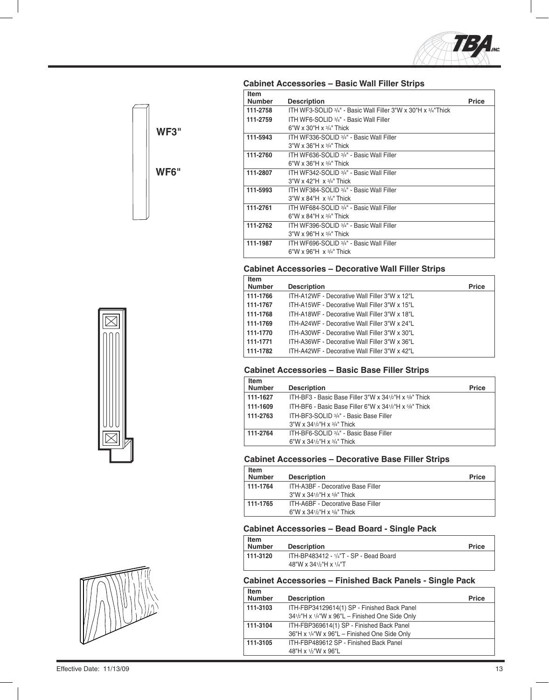

| <b>Item</b><br><b>Number</b> | <b>Description</b>                                            | <b>Price</b> |
|------------------------------|---------------------------------------------------------------|--------------|
| 111-2758                     | ITH WF3-SOLID 3/4" - Basic Wall Filler 3"W x 30"H x 3/4"Thick |              |
| 111-2759                     | ITH WF6-SOLID 3/4" - Basic Wall Filler                        |              |
|                              | 6"W x 30"H x $3/4$ " Thick                                    |              |
| 111-5943                     | ITH WF336-SOLID 3/4" - Basic Wall Filler                      |              |
|                              | $3"W \times 36"H \times 3/4"$ Thick                           |              |
| 111-2760                     | ITH WF636-SOLID 3/4" - Basic Wall Filler                      |              |
|                              | 6"W x 36"H x $3/4$ " Thick                                    |              |
| 111-2807                     | ITH WE342-SOLID 3/4" - Basic Wall Filler                      |              |
|                              | $3"W \times 42"H \times 3/4"$ Thick                           |              |
| 111-5993                     | ITH WF384-SOLID 3/4" - Basic Wall Filler                      |              |
|                              | $3''W \times 84''H \times 3/4''$ Thick                        |              |
| 111-2761                     | ITH WF684-SOLID 3/4" - Basic Wall Filler                      |              |
|                              | 6"W x 84"H x $3/4$ " Thick                                    |              |
| 111-2762                     | ITH WF396-SOLID 3/4" - Basic Wall Filler                      |              |
|                              | $3"W \times 96"H \times 3/4"$ Thick                           |              |
| 111-1987                     | ITH WF696-SOLID 3/4" - Basic Wall Filler                      |              |
|                              | 6"W x 96"H $\times$ 3/4" Thick                                |              |
|                              |                                                               |              |

### **Cabinet Accessories – Basic Wall Filler Strips**



| <b>Item</b>   |                                               |              |
|---------------|-----------------------------------------------|--------------|
| <b>Number</b> | <b>Description</b>                            | <b>Price</b> |
| 111-1766      | ITH-A12WF - Decorative Wall Filler 3"W x 12"L |              |
| 111-1767      | ITH-A15WF - Decorative Wall Filler 3"W x 15"L |              |
| 111-1768      | ITH-A18WF - Decorative Wall Filler 3"W x 18"L |              |
| 111-1769      | ITH-A24WF - Decorative Wall Filler 3"W x 24"L |              |
| 111-1770      | ITH-A30WF - Decorative Wall Filler 3"W x 30"L |              |
| 111-1771      | ITH-A36WF - Decorative Wall Filler 3"W x 36"L |              |
| 111-1782      | ITH-A42WF - Decorative Wall Filler 3"W x 42"L |              |
|               |                                               |              |

#### **Cabinet Accessories – Basic Base Filler Strips**

| Item          |                                                        |              |
|---------------|--------------------------------------------------------|--------------|
| <b>Number</b> | <b>Description</b>                                     | <b>Price</b> |
| 111-1627      | ITH-BF3 - Basic Base Filler 3"W x 341/2"H x 5/8" Thick |              |
| 111-1609      | ITH-BF6 - Basic Base Filler 6"W x 341/2"H x 5/8" Thick |              |
| 111-2763      | ITH-BF3-SOLID 3/4" - Basic Base Filler                 |              |
|               | $3''W \times 34^{1/2}H \times 3/4''$ Thick             |              |
| 111-2764      | ITH-BF6-SOLID 3/4" - Basic Base Filler                 |              |
|               | 6"W x 341/2"H x $3/4$ " Thick                          |              |
|               |                                                        |              |

#### **Cabinet Accessories – Decorative Base Filler Strips**

| <b>Item</b><br><b>Number</b> | <b>Description</b>                                                                     | <b>Price</b> |
|------------------------------|----------------------------------------------------------------------------------------|--------------|
| 111-1764                     | <b>ITH-A3BF - Decorative Base Filler</b><br>$3''W \times 34^{1/2}H \times 5/8''$ Thick |              |
| 111-1765                     | ITH-A6BF - Decorative Base Filler<br>6"W x 341/2"H x $5/8$ " Thick                     |              |

#### **Cabinet Accessories – Bead Board - Single Pack**

| <b>Item</b>   |                                        |              |
|---------------|----------------------------------------|--------------|
| <b>Number</b> | <b>Description</b>                     | <b>Price</b> |
| 111-3120      | ITH-BP483412 - 1/4"T - SP - Bead Board |              |
|               | 48"W x 341/2"H x 1/4"T                 |              |

#### **Cabinet Accessories – Finished Back Panels - Single Pack**

| Item          |                                                 |              |
|---------------|-------------------------------------------------|--------------|
| <b>Number</b> | <b>Description</b>                              | <b>Price</b> |
| 111-3103      | ITH-FBP34129614(1) SP - Finished Back Panel     |              |
|               | 341/2"H x 1/4"W x 96"L - Finished One Side Only |              |
| 111-3104      | ITH-FBP369614(1) SP - Finished Back Panel       |              |
|               | 36"H x 1/4"W x 96"L - Finished One Side Only    |              |
| 111-3105      | ITH-FBP489612 SP - Finished Back Panel          |              |
|               | 48"H x 1/2"W x 96"L                             |              |
|               |                                                 |              |





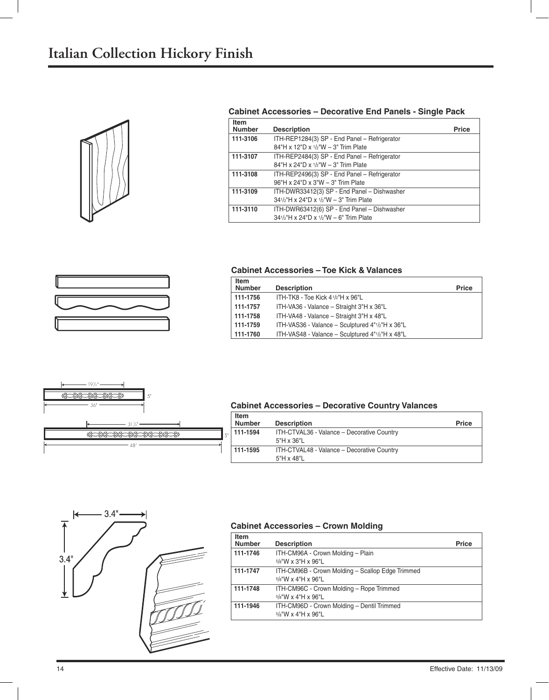

#### **Cabinet Accessories – Decorative End Panels - Single Pack**

| Item<br><b>Number</b> | <b>Description</b>                                                                    | <b>Price</b> |
|-----------------------|---------------------------------------------------------------------------------------|--------------|
| 111-3106              | ITH-REP1284(3) SP - End Panel - Refrigerator<br>84"H x 12"D x 1/2"W - 3" Trim Plate   |              |
| 111-3107              | ITH-REP2484(3) SP - End Panel - Refrigerator<br>84"H x 24"D x 1/2"W - 3" Trim Plate   |              |
| 111-3108              | ITH-REP2496(3) SP - End Panel - Refrigerator<br>96"H x 24"D x 3"W - 3" Trim Plate     |              |
| 111-3109              | ITH-DWR33412(3) SP - End Panel - Dishwasher<br>341/2"H x 24"D x 1/2"W - 3" Trim Plate |              |
| 111-3110              | ITH-DWR63412(6) SP - End Panel - Dishwasher<br>341/2"H x 24"D x 1/2"W - 6" Trim Plate |              |
|                       |                                                                                       |              |



#### **Cabinet Accessories – Toe Kick & Valances**

| <b>Item</b><br>Number | <b>Description</b>                              | <b>Price</b> |
|-----------------------|-------------------------------------------------|--------------|
| 111-1756              | ITH-TK8 - Toe Kick 41/2"H x 96"L                |              |
| 111-1757              | ITH-VA36 - Valance - Straight 3"H x 36"L        |              |
| 111-1758              | ITH-VA48 - Valance - Straight 3"H x 48"L        |              |
| 111-1759              | ITH-VAS36 - Valance - Sculptured 4"1/2"H x 36"L |              |
| 111-1760              | ITH-VAS48 - Valance - Sculptured 4"1/2"H x 48"L |              |



#### **Item Cabinet Accessories – Decorative Country Valances**

| <b>item</b><br><b>Number</b> | <b>Description</b>                                       | <b>Price</b> |
|------------------------------|----------------------------------------------------------|--------------|
| $111-1594$                   | ITH-CTVAL36 - Valance - Decorative Country<br>5"H x 36"L |              |
| 111-1595                     | ITH-CTVAL48 - Valance - Decorative Country<br>5"H x 48"L |              |



#### **Cabinet Accessories – Crown Molding**

| <b>Item</b><br><b>Number</b> | <b>Description</b>                                                     | Price |
|------------------------------|------------------------------------------------------------------------|-------|
| 111-1746                     | ITH-CM96A - Crown Molding - Plain<br>$5\frac{1}{8}$ "W x 3"H x 96"L    |       |
| 111-1747                     | ITH-CM96B - Crown Molding - Scallop Edge Trimmed<br>5/8"W x 4"H x 96"L |       |
| 111-1748                     | ITH-CM96C - Crown Molding - Rope Trimmed<br>$5/8$ "W x 4"H x 96"L      |       |
| 111-1946                     | ITH-CM96D - Crown Molding - Dentil Trimmed<br>$5/8$ "W x 4"H x 96"L    |       |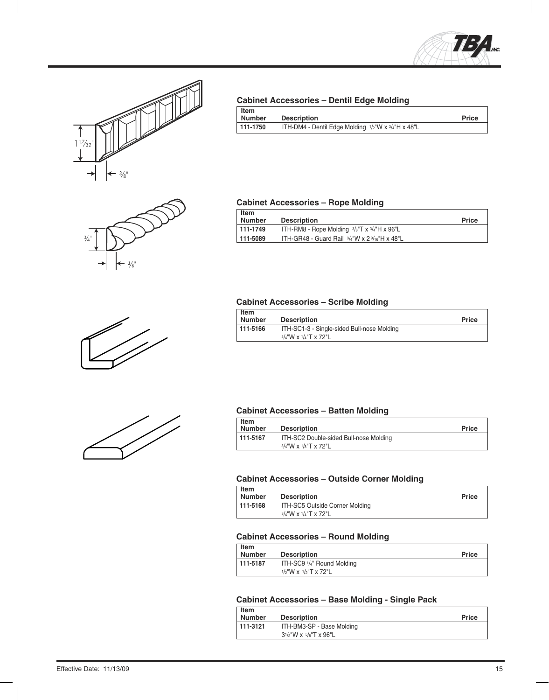









#### **Cabinet Accessories – Dentil Edge Molding**

| Item     |                                                          | <b>Price</b> |
|----------|----------------------------------------------------------|--------------|
| Number   | <b>Description</b>                                       |              |
| 111-1750 | ITH-DM4 - Dentil Edge Molding $1/2$ "W x $3/4$ "H x 48"L |              |

#### **Cabinet Accessories – Rope Molding**

| Item<br>Number | <b>Description</b>                                                | <b>Price</b> |
|----------------|-------------------------------------------------------------------|--------------|
| 111-1749       | ITH-RM8 - Rope Molding $\frac{3}{8}$ "T x $\frac{3}{4}$ "H x 96"L |              |
| 111-5089       | ITH-GR48 - Guard Rail $3/4$ "W x 2 $9/16$ "H x 48"L               |              |

#### **Cabinet Accessories – Scribe Molding**

| Item<br>Number | <b>Description</b>                                                       | <b>Price</b> |
|----------------|--------------------------------------------------------------------------|--------------|
| $111 - 5166$   | ITH-SC1-3 - Single-sided Bull-nose Molding<br>$3/4$ "W x $1/4$ "T x 72"L |              |

#### **Cabinet Accessories – Batten Molding**

| Item<br><b>Number</b> | <b>Description</b>                     | <b>Price</b> |
|-----------------------|----------------------------------------|--------------|
| $111-5167$            | ITH-SC2 Double-sided Bull-nose Molding |              |
|                       | $3/4$ "W x $1/8$ "T x 72"L             |              |

#### **Cabinet Accessories – Outside Corner Molding**

| $ $ Item<br>  Number | <b>Description</b>             | <b>Price</b> |
|----------------------|--------------------------------|--------------|
| $111 - 5168$         | ITH-SC5 Outside Corner Molding |              |
|                      | $3/4$ "W x $1/4$ "T x 72"L     |              |

#### **Cabinet Accessories – Round Molding**

| Item<br><b>Number</b> | <b>Description</b>         | <b>Price</b> |
|-----------------------|----------------------------|--------------|
| $111 - 5187$          | ITH-SC9 1/4" Round Molding |              |
|                       | $1/2$ "W x $1/2$ "T x 72"L |              |

#### **Cabinet Accessories – Base Molding - Single Pack**

| <b>Item</b><br><b>Number</b> | <b>Description</b>          | <b>Price</b> |
|------------------------------|-----------------------------|--------------|
| 111-3121                     | ITH-BM3-SP - Base Molding   |              |
|                              | $31/2$ "W x $5/8$ "T x 96"L |              |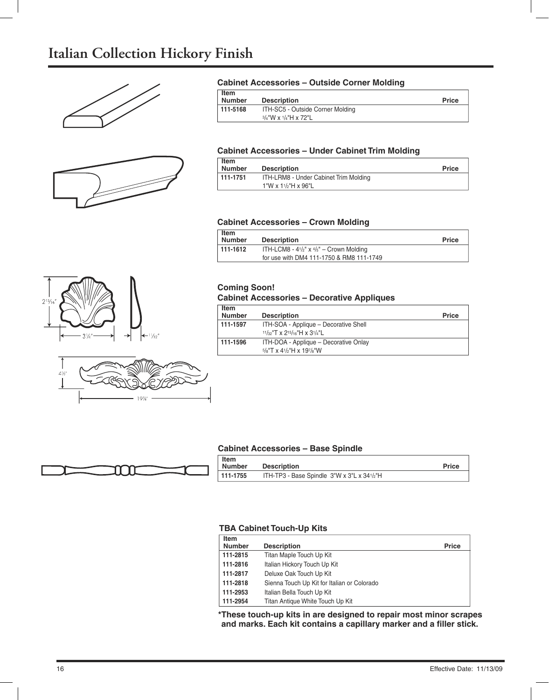## **Italian Collection Hickory Finish**





#### **Cabinet Accessories – Outside Corner Molding**

| Item<br><b>Number</b> | <b>Description</b>                                       | <b>Price</b> |
|-----------------------|----------------------------------------------------------|--------------|
| $111 - 5168$          | ITH-SC5 - Outside Corner Molding<br>3/4"W x 1/4"H x 72"L |              |

#### **Cabinet Accessories – Under Cabinet Trim Molding**

| <b>Item</b><br><b>Number</b> | <b>Description</b>                    | <b>Price</b> |
|------------------------------|---------------------------------------|--------------|
| $111-1751$                   | ITH-LRM8 - Under Cabinet Trim Molding |              |
|                              | $1"W \times 1'/2"H \times 96"L$       |              |

#### **Cabinet Accessories – Crown Molding**

| <b>Item</b>   |                                                               |              |
|---------------|---------------------------------------------------------------|--------------|
| <b>Number</b> | <b>Description</b>                                            | <b>Price</b> |
| 111-1612      | ITH-LCM8 - $4\frac{1}{2}$ " x $\frac{4}{5}$ " – Crown Molding |              |
|               | for use with DM4 111-1750 & RM8 111-1749                      |              |





#### **Coming Soon!**

#### **Cabinet Accessories – Decorative Appliques**

| Item<br><b>Number</b> | <b>Description</b>                                                   | <b>Price</b> |
|-----------------------|----------------------------------------------------------------------|--------------|
| 111-1597              | ITH-SOA - Applique – Decorative Shell<br>11/32"T x 215/16"H x 31/4"L |              |
| 111-1596              | ITH-DOA - Applique - Decorative Onlay<br>$5/8$ "T x 41/2"H x 197/8"W |              |

#### **Cabinet Accessories – Base Spindle**



| <b>Item</b>   |                                            |              |
|---------------|--------------------------------------------|--------------|
| <b>Number</b> | <b>Description</b>                         | <b>Price</b> |
| 111-1755      | ITH-TP3 - Base Spindle 3"W x 3"L x 341/2"H |              |

#### **TBA Cabinet Touch-Up Kits**

| Item<br><b>Number</b> | <b>Description</b>                          | <b>Price</b> |
|-----------------------|---------------------------------------------|--------------|
| 111-2815              | Titan Maple Touch Up Kit                    |              |
| 111-2816              | Italian Hickory Touch Up Kit                |              |
| 111-2817              | Deluxe Oak Touch Up Kit                     |              |
| 111-2818              | Sienna Touch Up Kit for Italian or Colorado |              |
| 111-2953              | Italian Bella Touch Up Kit                  |              |
| 111-2954              | Titan Antique White Touch Up Kit            |              |

**\* These touch-up kits in are designed to repair most minor scrapes** and marks. Each kit contains a capillary marker and a filler stick.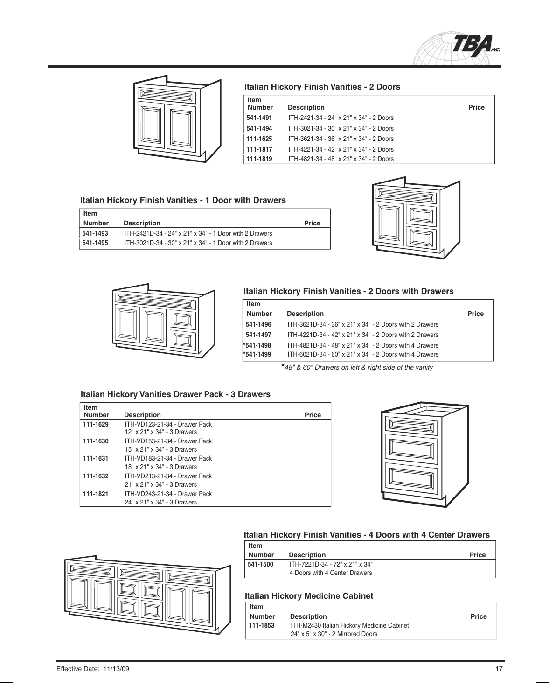



#### **Italian Hickory Finish Vanities - 2 Doors**

| Item                 |                                         |              |
|----------------------|-----------------------------------------|--------------|
| <b>Number</b>        | <b>Description</b>                      | <b>Price</b> |
| 541-1491             | ITH-2421-34 - 24" x 21" x 34" - 2 Doors |              |
| 541-1494             | ITH-3021-34 - 30" x 21" x 34" - 2 Doors |              |
| 111-1625             | ITH-3621-34 - 36" x 21" x 34" - 2 Doors |              |
|                      | ITH-4221-34 - 42" x 21" x 34" - 2 Doors |              |
|                      | ITH-4821-34 - 48" x 21" x 34" - 2 Doors |              |
| 111-1817<br>111-1819 |                                         |              |

#### **Italian Hickory Finish Vanities - 1 Door with Drawers**

| Item          |                                                        |              |
|---------------|--------------------------------------------------------|--------------|
| <b>Number</b> | <b>Description</b>                                     | <b>Price</b> |
| 541-1493      | ITH-2421D-34 - 24" x 21" x 34" - 1 Door with 2 Drawers |              |
| 541-1495      | ITH-3021D-34 - 30" x 21" x 34" - 1 Door with 2 Drawers |              |





#### **Italian Hickory Finish Vanities - 2 Doors with Drawers**

| Item          |                                                         |              |
|---------------|---------------------------------------------------------|--------------|
| <b>Number</b> | <b>Description</b>                                      | <b>Price</b> |
| 541-1496      | ITH-3621D-34 - 36" x 21" x 34" - 2 Doors with 2 Drawers |              |
| 541-1497      | ITH-4221D-34 - 42" x 21" x 34" - 2 Doors with 2 Drawers |              |
| *541-1498     | ITH-4821D-34 - 48" x 21" x 34" - 2 Doors with 4 Drawers |              |
| *541-1499     | ITH-6021D-34 - 60" x 21" x 34" - 2 Doors with 4 Drawers |              |

**\*** *48" & 60" Drawers on left & right side of the vanity*

#### **Italian Hickory Vanities Drawer Pack - 3 Drawers**

| <b>Item</b><br><b>Number</b> | <b>Description</b>                                           | <b>Price</b> |
|------------------------------|--------------------------------------------------------------|--------------|
| 111-1629                     | ITH-VD123-21-34 - Drawer Pack<br>12" x 21" x 34" - 3 Drawers |              |
| 111-1630                     | ITH-VD153-21-34 - Drawer Pack<br>15" x 21" x 34" - 3 Drawers |              |
| 111-1631                     | ITH-VD183-21-34 - Drawer Pack<br>18" x 21" x 34" - 3 Drawers |              |
| 111-1632                     | ITH-VD213-21-34 - Drawer Pack<br>21" x 21" x 34" - 3 Drawers |              |
| 111-1821                     | ITH-VD243-21-34 - Drawer Pack<br>24" x 21" x 34" - 3 Drawers |              |





#### **Italian Hickory Finish Vanities - 4 Doors with 4 Center Drawers**

| Item     |                                |              |
|----------|--------------------------------|--------------|
| Number   | <b>Description</b>             | <b>Price</b> |
| 541-1500 | ITH-7221D-34 - 72" x 21" x 34" |              |
|          | 4 Doors with 4 Center Drawers  |              |

#### **Italian Hickory Medicine Cabinet**

| Item          |                                            |              |
|---------------|--------------------------------------------|--------------|
| <b>Number</b> | <b>Description</b>                         | <b>Price</b> |
| 111-1853      | ITH-M2430 Italian Hickory Medicine Cabinet |              |
|               | 24" x 5" x 30" - 2 Mirrored Doors          |              |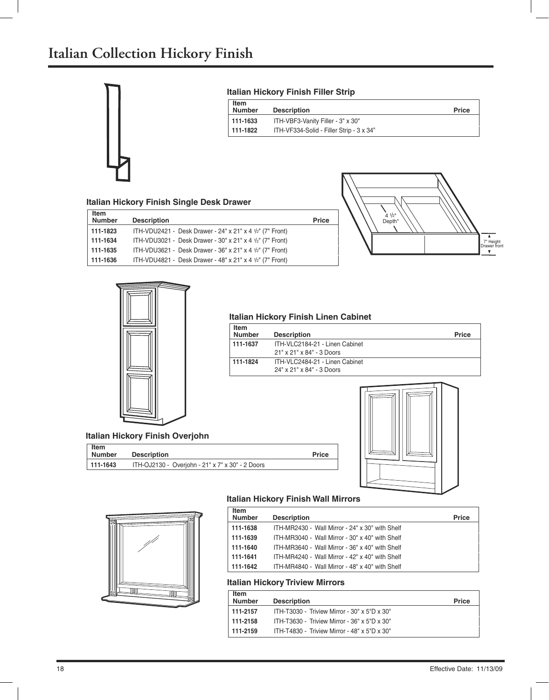

#### **Italian Hickory Finish Filler Strip**

| <b>Item</b><br><b>Number</b> | <b>Description</b>                       | <b>Price</b> |
|------------------------------|------------------------------------------|--------------|
| 111-1633                     | ITH-VBF3-Vanity Filler - 3" x 30"        |              |
| $  111 - 1822$               | ITH-VF334-Solid - Filler Strip - 3 x 34" |              |

#### **Italian Hickory Finish Single Desk Drawer**

| <b>Item</b><br><b>Number</b> | <b>Description</b>                                                   | <b>Price</b> |
|------------------------------|----------------------------------------------------------------------|--------------|
| 111-1823                     | ITH-VDU2421 - Desk Drawer - 24" x 21" x 4 $1/2$ " (7" Front)         |              |
| 111-1634                     | ITH-VDU3021 - Desk Drawer - 30" x 21" x 4 $\frac{1}{2}$ " (7" Front) |              |
| 111-1635                     | ITH-VDU3621 - Desk Drawer - 36" x 21" x 4 $1/2$ " (7" Front)         |              |
| 111-1636                     | ITH-VDU4821 - Desk Drawer - 48" x 21" x 4 $\frac{1}{2}$ " (7" Front) |              |





#### **Italian Hickory Finish Linen Cabinet**

| Item<br><b>Number</b> | <b>Description</b>             | Price |
|-----------------------|--------------------------------|-------|
| 111-1637              | ITH-VLC2184-21 - Linen Cabinet |       |
|                       | 21" x 21" x 84" - 3 Doors      |       |
| 111-1824              | ITH-VLC2484-21 - Linen Cabinet |       |
|                       | 24" x 21" x 84" - 3 Doors      |       |



#### **Item Number Description Price**

| 111-1643 | ITH-OJ2130 - Overjohn - 21" x 7" x 30" - 2 Doors |
|----------|--------------------------------------------------|
|          |                                                  |



#### **Italian Hickory Finish Wall Mirrors**

| <b>Item</b><br><b>Number</b> | <b>Description</b>                              | <b>Price</b> |
|------------------------------|-------------------------------------------------|--------------|
| 111-1638                     | ITH-MR2430 - Wall Mirror - 24" x 30" with Shelf |              |
| 111-1639                     | ITH-MR3040 - Wall Mirror - 30" x 40" with Shelf |              |
| 111-1640                     | ITH-MR3640 - Wall Mirror - 36" x 40" with Shelf |              |
| 111-1641                     | ITH-MR4240 - Wall Mirror - 42" x 40" with Shelf |              |
| 111-1642                     | ITH-MR4840 - Wall Mirror - 48" x 40" with Shelf |              |

#### **Italian Hickory Triview Mirrors**

| Item<br>Number | <b>Description</b>                           | <b>Price</b> |
|----------------|----------------------------------------------|--------------|
| $111-2157$     | ITH-T3030 - Triview Mirror - 30" x 5"D x 30" |              |
| $111-2158$     | ITH-T3630 - Triview Mirror - 36" x 5"D x 30" |              |
| 111-2159       | ITH-T4830 - Triview Mirror - 48" x 5"D x 30" |              |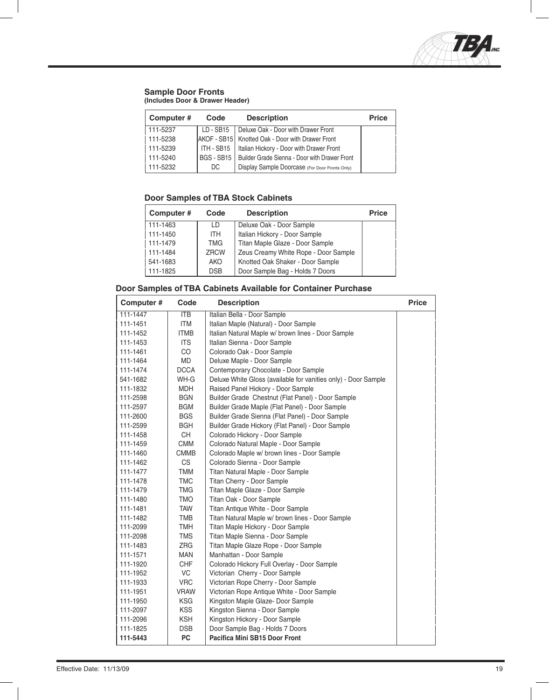

#### **Sample Door Fronts (Includes Door & Drawer Header)**

| Computer# | Code      | <b>Description</b>                                         | <b>Price</b> |
|-----------|-----------|------------------------------------------------------------|--------------|
| 111-5237  | LD - SB15 | Deluxe Oak - Door with Drawer Front                        |              |
| 111-5238  |           | AKOF - SB15   Knotted Oak - Door with Drawer Front         |              |
| 111-5239  |           | ITH - SB15   Italian Hickory - Door with Drawer Front      |              |
| 111-5240  |           | BGS - SB15   Builder Grade Sienna - Door with Drawer Front |              |
| 111-5232  | DC.       | Display Sample Doorcase (For Door Fronts Only)             |              |

#### **Door Samples of TBA Stock Cabinets**

| Computer# | Code       | <b>Description</b>                   | <b>Price</b> |
|-----------|------------|--------------------------------------|--------------|
| 111-1463  | LD.        | Deluxe Oak - Door Sample             |              |
| 111-1450  | <b>ITH</b> | Italian Hickory - Door Sample        |              |
| 111-1479  | <b>TMG</b> | Titan Maple Glaze - Door Sample      |              |
| 111-1484  | ZRCW       | Zeus Creamy White Rope - Door Sample |              |
| 541-1683  | <b>AKO</b> | Knotted Oak Shaker - Door Sample     |              |
| 111-1825  | <b>DSB</b> | Door Sample Bag - Holds 7 Doors      |              |

#### **Door Samples of TBA Cabinets Available for Container Purchase**

| Computer# | Code        | <b>Description</b>                                             | <b>Price</b> |
|-----------|-------------|----------------------------------------------------------------|--------------|
| 111-1447  | <b>ITB</b>  | Italian Bella - Door Sample                                    |              |
| 111-1451  | <b>ITM</b>  | Italian Maple (Natural) - Door Sample                          |              |
| 111-1452  | <b>ITMB</b> | Italian Natural Maple w/ brown lines - Door Sample             |              |
| 111-1453  | <b>ITS</b>  | Italian Sienna - Door Sample                                   |              |
| 111-1461  | CO          | Colorado Oak - Door Sample                                     |              |
| 111-1464  | <b>MD</b>   | Deluxe Maple - Door Sample                                     |              |
| 111-1474  | <b>DCCA</b> | Contemporary Chocolate - Door Sample                           |              |
| 541-1682  | WH-G        | Deluxe White Gloss (available for vanities only) - Door Sample |              |
| 111-1832  | <b>MDH</b>  | Raised Panel Hickory - Door Sample                             |              |
| 111-2598  | <b>BGN</b>  | Builder Grade Chestnut (Flat Panel) - Door Sample              |              |
| 111-2597  | <b>BGM</b>  | Builder Grade Maple (Flat Panel) - Door Sample                 |              |
| 111-2600  | <b>BGS</b>  | Builder Grade Sienna (Flat Panel) - Door Sample                |              |
| 111-2599  | <b>BGH</b>  | Builder Grade Hickory (Flat Panel) - Door Sample               |              |
| 111-1458  | <b>CH</b>   | Colorado Hickory - Door Sample                                 |              |
| 111-1459  | <b>CMM</b>  | Colorado Natural Maple - Door Sample                           |              |
| 111-1460  | <b>CMMB</b> | Colorado Maple w/ brown lines - Door Sample                    |              |
| 111-1462  | <b>CS</b>   | Colorado Sienna - Door Sample                                  |              |
| 111-1477  | <b>TMM</b>  | Titan Natural Maple - Door Sample                              |              |
| 111-1478  | <b>TMC</b>  | Titan Cherry - Door Sample                                     |              |
| 111-1479  | <b>TMG</b>  | Titan Maple Glaze - Door Sample                                |              |
| 111-1480  | <b>OMT</b>  | Titan Oak - Door Sample                                        |              |
| 111-1481  | <b>TAW</b>  | Titan Antique White - Door Sample                              |              |
| 111-1482  | <b>TMB</b>  | Titan Natural Maple w/ brown lines - Door Sample               |              |
| 111-2099  | TMH         | Titan Maple Hickory - Door Sample                              |              |
| 111-2098  | <b>TMS</b>  | Titan Maple Sienna - Door Sample                               |              |
| 111-1483  | <b>ZRG</b>  | Titan Maple Glaze Rope - Door Sample                           |              |
| 111-1571  | <b>MAN</b>  | Manhattan - Door Sample                                        |              |
| 111-1920  | <b>CHF</b>  | Colorado Hickory Full Overlay - Door Sample                    |              |
| 111-1952  | VC          | Victorian Cherry - Door Sample                                 |              |
| 111-1933  | <b>VRC</b>  | Victorian Rope Cherry - Door Sample                            |              |
| 111-1951  | VRAW        | Victorian Rope Antique White - Door Sample                     |              |
| 111-1950  | <b>KSG</b>  | Kingston Maple Glaze- Door Sample                              |              |
| 111-2097  | <b>KSS</b>  | Kingston Sienna - Door Sample                                  |              |
| 111-2096  | <b>KSH</b>  | Kingston Hickory - Door Sample                                 |              |
| 111-1825  | <b>DSB</b>  | Door Sample Bag - Holds 7 Doors                                |              |
| 111-5443  | <b>PC</b>   | <b>Pacifica Mini SB15 Door Front</b>                           |              |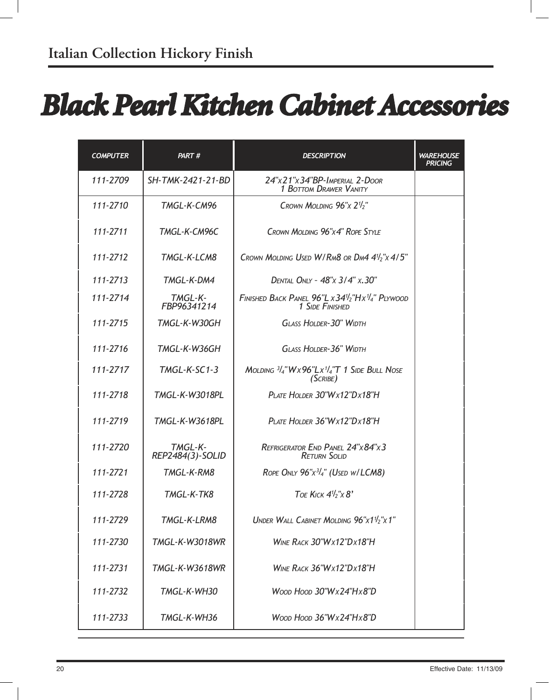# *Black Pearl Kitchen Cabinet Accessories*

| <b>COMPUTER</b> | PART#                       | <b>DESCRIPTION</b>                                                                            | <b><i>WAREHOUSE</i></b><br>PRICING |
|-----------------|-----------------------------|-----------------------------------------------------------------------------------------------|------------------------------------|
| 111-2709        | SH-TMK-2421-21-BD           | 24"x21"x34"BP-IMPERIAL 2-DOOR<br><b>1 BOTTOM DRAWER VANITY</b>                                |                                    |
| 111-2710        | TMGL-K-CM96                 | CROWN MOLDING $96''x 2''_2$                                                                   |                                    |
| 111-2711        | TMGL-K-CM96C                | CROWN MOLDING 96"X4" ROPE STYLE                                                               |                                    |
| 111-2712        | TMGL-K-LCM8                 | CROWN MOLDING USED W/RM8 OR DM4 $4\frac{1}{2}$ " $\times$ 4/5"                                |                                    |
| 111-2713        | TMGL-K-DM4                  | DENTAL ONLY - 48"x 3/4" x.30"                                                                 |                                    |
| 111-2714        | TMGL-K-<br>FBP96341214      | FINISHED BACK PANEL 96"L x 34 <sup>1/2</sup> "H x <sup>1/4</sup> " PLYWOOD<br>1 SIDE FINISHED |                                    |
| 111-2715        | TMGL-K-W30GH                | <b>GLASS HOLDER-30" WIDTH</b>                                                                 |                                    |
| 111-2716        | TMGL-K-W36GH                | <b>GLASS HOLDER-36" WIDTH</b>                                                                 |                                    |
| 111-2717        | $TMGL-K-SC1-3$              | MOLDING $3/4$ "Wx96"Lx $1/4$ "T 1 SIDE BULL NOSE<br>(SCRIBE)                                  |                                    |
| 111-2718        | <b>TMGL-K-W3018PL</b>       | PLATE HOLDER 30"Wx12"Dx18"H                                                                   |                                    |
| 111-2719        | <b>TMGL-K-W3618PL</b>       | PLATE HOLDER 36"Wx12"Dx18"H                                                                   |                                    |
| 111-2720        | TMGL-K-<br>REP2484(3)-SOLID | REFRIGERATOR END PANEL 24"x84"x3<br><b>RETURN SOLID</b>                                       |                                    |
| 111-2721        | TMGL-K-RM8                  | ROPE ONLY 96"x3/4" (USED W/LCM8)                                                              |                                    |
| 111-2728        | TMGL-K-TK8                  | TOE KICK $4\frac{1}{2}$ "x 8'                                                                 |                                    |
| 111-2729        | TMGL-K-LRM8                 | UNDER WALL CABINET MOLDING 96"x11/2"x1"                                                       |                                    |
| 111-2730        | <b>TMGL-K-W3018WR</b>       | WINE RACK 30"Wx12"Dx18"H                                                                      |                                    |
| 111-2731        | <b>TMGL-K-W3618WR</b>       | WINE RACK 36"Wx12"Dx18"H                                                                      |                                    |
| 111-2732        | TMGL-K-WH30                 | Woop Hoop 30"Wx24"Hx8"D                                                                       |                                    |
| 111-2733        | TMGL-K-WH36                 | Woop Hoop $36"Wx24"Hx8"D$                                                                     |                                    |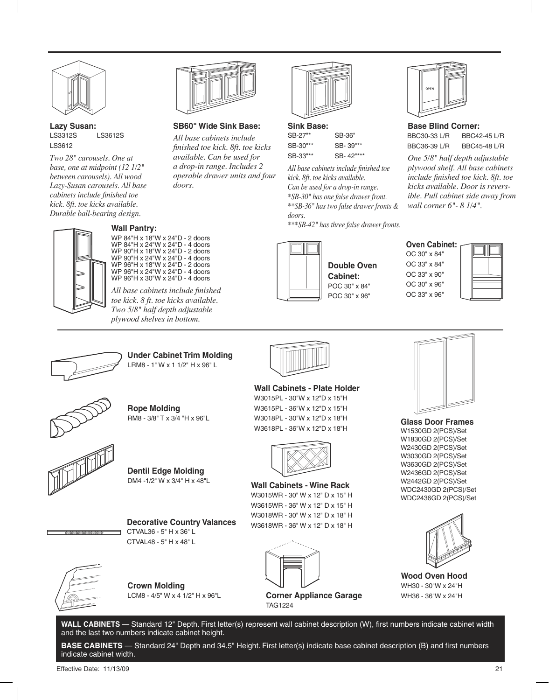

**Lazy Susan:**  LS3312S LS3612S LS3612

*Two 28" carousels. One at base, one at midpoint (12 1/2" between carousels). All wood Lazy-Susan carousels. All base cabinets include finished toe kick. 8ft. toe kicks available. Durable ball-bearing design.*



## **Wall Pantry:**

WP 84"H x 18"W x 24"D - 2 doors WP 84"H x 24"W x 24"D - 4 doors WP 90"H x 18"W x 24"D - 2 doors WP 90"H x 24"W x 24"D - 4 doors WP 96"H x 18"W x 24"D - 2 doors WP 96"H x 24"W x 24"D - 4 doors WP 96"H x 30"W x 24"D - 4 doors

*doors.*

**SB60" Wide Sink Base:** *All base cabinets include finished toe kick. 8ft. toe kicks available. Can be used for a drop-in range. Includes 2 operable drawer units and four* 

*All base cabinets include finished toe kick. 8 ft. toe kicks available. Two 5/8" half depth adjustable plywood shelves in bottom.*



**Sink Base:** SB-27"\* SB-36" SB-30"\*\* SB- 39"\*\* SB-33"\*\* SB- 42"\*\*\*

*All base cabinets include finished toe kick. 8ft. toe kicks available. Can be used for a drop-in range. \*SB-30" has one false drawer front. \*\*SB-36" has two false drawer fronts & doors.*

*\*\*\*SB-42" has three false drawer fronts.*



### **Double Oven**





**Under Cabinet Trim Molding** LRM8 - 1" W x 1 1/2" H x 96" L



**Rope Molding** RM8 - 3/8" T x 3/4 "H x 96"L





**CACACACACACA** 

**Decorative Country Valances** CTVAL36 - 5" H x 36" L CTVAL48 - 5" H x 48" L



**Crown Molding** LCM8 - 4/5" W x 4 1/2" H x 96"L



W3615PL - 36"W x 12"D x 15"H W3018PL - 30"W x 12"D x 18"H W3618PL - 36"W x 12"D x 18"H



**Wall Cabinets - Wine Rack** W3015WR - 30" W x 12" D x 15" H W3615WR - 36" W x 12" D x 15" H W3018WR - 30" W x 12" D x 18" H W3618WR - 36" W x 12" D x 18" H



**Corner Appliance Garage** TAG1224



**Base Blind Corner:** BBC30-33 L/R BBC36-39 L/R BBC42-45 L/R BBC45-48 L/R

*One 5/8" half depth adjustable plywood shelf. All base cabinets include finished toe kick. 8ft. toe kicks available. Door is reversible. Pull cabinet side away from wall corner 6"- 8 1/4".*

#### **Oven Cabinet:** OC 30" x 84" OC 33" x 84" OC 33" x 90" OC 30" x 96" OC 33" x 96"





**Glass Door Frames** W1530GD 2(PCS)/Set W1830GD 2(PCS)/Set W2430GD 2(PCS)/Set W3030GD 2(PCS)/Set W3630GD 2(PCS)/Set W2436GD 2(PCS)/Set W2442GD 2(PCS)/Set WDC2430GD 2(PCS)/Set WDC2436GD 2(PCS)/Set



**Wood Oven Hood** WH30 - 30"W x 24"H WH36 - 36"W x 24"H

WALL CABINETS - Standard 12" Depth. First letter(s) represent wall cabinet description (W), first numbers indicate cabinet width and the last two numbers indicate cabinet height.

**BASE CABINETS** — Standard 24" Depth and 34.5" Height. First letter(s) indicate base cabinet description (B) and first numbers indicate cabinet width.